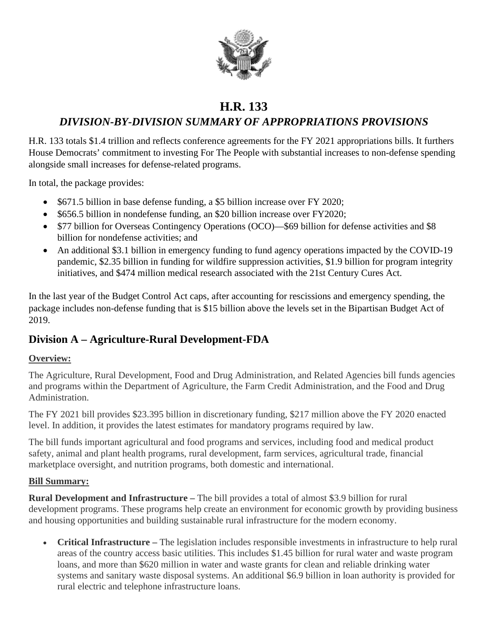

# **H.R. 133**

# *DIVISION-BY-DIVISION SUMMARY OF APPROPRIATIONS PROVISIONS*

H.R. 133 totals \$1.4 trillion and reflects conference agreements for the FY 2021 appropriations bills. It furthers House Democrats' commitment to investing For The People with substantial increases to non-defense spending alongside small increases for defense-related programs.

In total, the package provides:

- \$671.5 billion in base defense funding, a \$5 billion increase over FY 2020;
- \$656.5 billion in nondefense funding, an \$20 billion increase over FY2020;
- \$77 billion for Overseas Contingency Operations (OCO)—\$69 billion for defense activities and \$8 billion for nondefense activities; and
- An additional \$3.1 billion in emergency funding to fund agency operations impacted by the COVID-19 pandemic, \$2.35 billion in funding for wildfire suppression activities, \$1.9 billion for program integrity initiatives, and \$474 million medical research associated with the 21st Century Cures Act.

In the last year of the Budget Control Act caps, after accounting for rescissions and emergency spending, the package includes non-defense funding that is \$15 billion above the levels set in the Bipartisan Budget Act of 2019.

# **Division A – Agriculture-Rural Development-FDA**

### **Overview:**

The Agriculture, Rural Development, Food and Drug Administration, and Related Agencies bill funds agencies and programs within the Department of Agriculture, the Farm Credit Administration, and the Food and Drug Administration.

The FY 2021 bill provides \$23.395 billion in discretionary funding, \$217 million above the FY 2020 enacted level. In addition, it provides the latest estimates for mandatory programs required by law.

The bill funds important agricultural and food programs and services, including food and medical product safety, animal and plant health programs, rural development, farm services, agricultural trade, financial marketplace oversight, and nutrition programs, both domestic and international.

### **Bill Summary:**

**Rural Development and Infrastructure –** The bill provides a total of almost \$3.9 billion for rural development programs. These programs help create an environment for economic growth by providing business and housing opportunities and building sustainable rural infrastructure for the modern economy.

• **Critical Infrastructure –** The legislation includes responsible investments in infrastructure to help rural areas of the country access basic utilities. This includes \$1.45 billion for rural water and waste program loans, and more than \$620 million in water and waste grants for clean and reliable drinking water systems and sanitary waste disposal systems. An additional \$6.9 billion in loan authority is provided for rural electric and telephone infrastructure loans.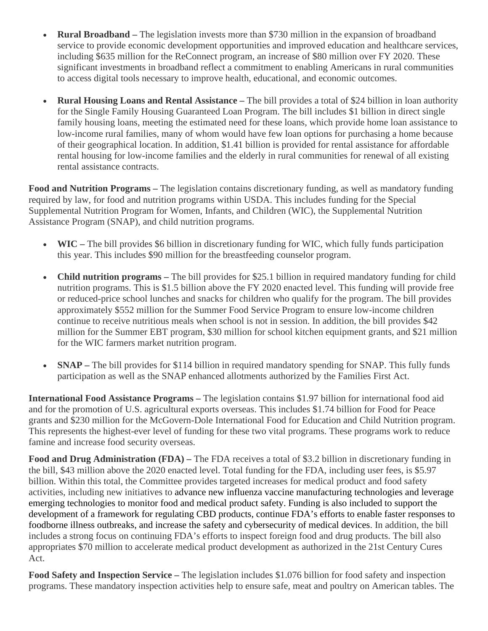- **Rural Broadband** The legislation invests more than \$730 million in the expansion of broadband service to provide economic development opportunities and improved education and healthcare services, including \$635 million for the ReConnect program, an increase of \$80 million over FY 2020. These significant investments in broadband reflect a commitment to enabling Americans in rural communities to access digital tools necessary to improve health, educational, and economic outcomes.
- **Rural Housing Loans and Rental Assistance –** The bill provides a total of \$24 billion in loan authority for the Single Family Housing Guaranteed Loan Program. The bill includes \$1 billion in direct single family housing loans, meeting the estimated need for these loans, which provide home loan assistance to low-income rural families, many of whom would have few loan options for purchasing a home because of their geographical location. In addition, \$1.41 billion is provided for rental assistance for affordable rental housing for low-income families and the elderly in rural communities for renewal of all existing rental assistance contracts.

**Food and Nutrition Programs –** The legislation contains discretionary funding, as well as mandatory funding required by law, for food and nutrition programs within USDA. This includes funding for the Special Supplemental Nutrition Program for Women, Infants, and Children (WIC), the Supplemental Nutrition Assistance Program (SNAP), and child nutrition programs.

- **WIC** The bill provides \$6 billion in discretionary funding for WIC, which fully funds participation this year. This includes \$90 million for the breastfeeding counselor program.
- **Child nutrition programs –** The bill provides for \$25.1 billion in required mandatory funding for child nutrition programs. This is \$1.5 billion above the FY 2020 enacted level. This funding will provide free or reduced-price school lunches and snacks for children who qualify for the program. The bill provides approximately \$552 million for the Summer Food Service Program to ensure low-income children continue to receive nutritious meals when school is not in session. In addition, the bill provides \$42 million for the Summer EBT program, \$30 million for school kitchen equipment grants, and \$21 million for the WIC farmers market nutrition program.
- **SNAP** The bill provides for \$114 billion in required mandatory spending for SNAP. This fully funds participation as well as the SNAP enhanced allotments authorized by the Families First Act.

**International Food Assistance Programs –** The legislation contains \$1.97 billion for international food aid and for the promotion of U.S. agricultural exports overseas. This includes \$1.74 billion for Food for Peace grants and \$230 million for the McGovern-Dole International Food for Education and Child Nutrition program. This represents the highest-ever level of funding for these two vital programs. These programs work to reduce famine and increase food security overseas.

**Food and Drug Administration (FDA) –** The FDA receives a total of \$3.2 billion in discretionary funding in the bill, \$43 million above the 2020 enacted level. Total funding for the FDA, including user fees, is \$5.97 billion. Within this total, the Committee provides targeted increases for medical product and food safety activities, including new initiatives to advance new influenza vaccine manufacturing technologies and leverage emerging technologies to monitor food and medical product safety. Funding is also included to support the development of a framework for regulating CBD products, continue FDA's efforts to enable faster responses to foodborne illness outbreaks, and increase the safety and cybersecurity of medical devices. In addition, the bill includes a strong focus on continuing FDA's efforts to inspect foreign food and drug products. The bill also appropriates \$70 million to accelerate medical product development as authorized in the 21st Century Cures Act.

**Food Safety and Inspection Service –** The legislation includes \$1.076 billion for food safety and inspection programs. These mandatory inspection activities help to ensure safe, meat and poultry on American tables. The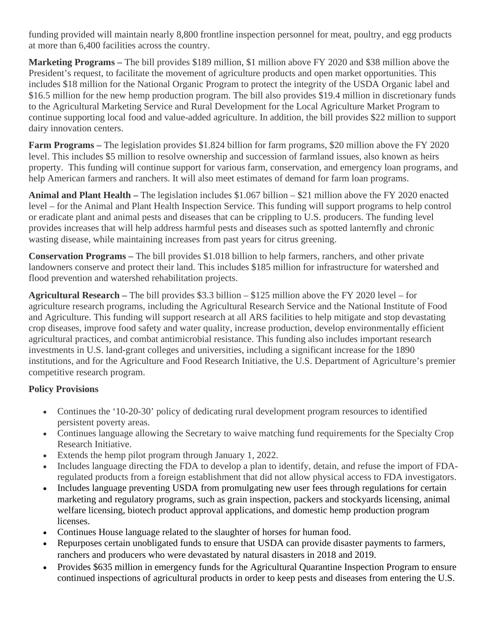funding provided will maintain nearly 8,800 frontline inspection personnel for meat, poultry, and egg products at more than 6,400 facilities across the country.

**Marketing Programs –** The bill provides \$189 million, \$1 million above FY 2020 and \$38 million above the President's request, to facilitate the movement of agriculture products and open market opportunities. This includes \$18 million for the National Organic Program to protect the integrity of the USDA Organic label and \$16.5 million for the new hemp production program. The bill also provides \$19.4 million in discretionary funds to the Agricultural Marketing Service and Rural Development for the Local Agriculture Market Program to continue supporting local food and value-added agriculture. In addition, the bill provides \$22 million to support dairy innovation centers.

**Farm Programs –** The legislation provides \$1.824 billion for farm programs, \$20 million above the FY 2020 level. This includes \$5 million to resolve ownership and succession of farmland issues, also known as heirs property. This funding will continue support for various farm, conservation, and emergency loan programs, and help American farmers and ranchers. It will also meet estimates of demand for farm loan programs.

**Animal and Plant Health –** The legislation includes \$1.067 billion – \$21 million above the FY 2020 enacted level – for the Animal and Plant Health Inspection Service. This funding will support programs to help control or eradicate plant and animal pests and diseases that can be crippling to U.S. producers. The funding level provides increases that will help address harmful pests and diseases such as spotted lanternfly and chronic wasting disease, while maintaining increases from past years for citrus greening.

**Conservation Programs –** The bill provides \$1.018 billion to help farmers, ranchers, and other private landowners conserve and protect their land. This includes \$185 million for infrastructure for watershed and flood prevention and watershed rehabilitation projects.

**Agricultural Research –** The bill provides \$3.3 billion – \$125 million above the FY 2020 level – for agriculture research programs, including the Agricultural Research Service and the National Institute of Food and Agriculture. This funding will support research at all ARS facilities to help mitigate and stop devastating crop diseases, improve food safety and water quality, increase production, develop environmentally efficient agricultural practices, and combat antimicrobial resistance. This funding also includes important research investments in U.S. land-grant colleges and universities, including a significant increase for the 1890 institutions, and for the Agriculture and Food Research Initiative, the U.S. Department of Agriculture's premier competitive research program.

### **Policy Provisions**

- Continues the '10-20-30' policy of dedicating rural development program resources to identified persistent poverty areas.
- Continues language allowing the Secretary to waive matching fund requirements for the Specialty Crop Research Initiative.
- Extends the hemp pilot program through January 1, 2022.
- Includes language directing the FDA to develop a plan to identify, detain, and refuse the import of FDAregulated products from a foreign establishment that did not allow physical access to FDA investigators.
- Includes language preventing USDA from promulgating new user fees through regulations for certain marketing and regulatory programs, such as grain inspection, packers and stockyards licensing, animal welfare licensing, biotech product approval applications, and domestic hemp production program licenses.
- Continues House language related to the slaughter of horses for human food.
- Repurposes certain unobligated funds to ensure that USDA can provide disaster payments to farmers, ranchers and producers who were devastated by natural disasters in 2018 and 2019.
- Provides \$635 million in emergency funds for the Agricultural Quarantine Inspection Program to ensure continued inspections of agricultural products in order to keep pests and diseases from entering the U.S.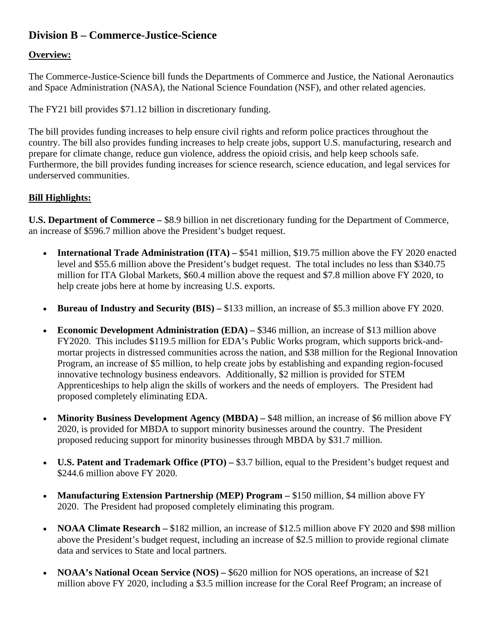# **Division B – Commerce-Justice-Science**

#### **Overview:**

The Commerce-Justice-Science bill funds the Departments of Commerce and Justice, the National Aeronautics and Space Administration (NASA), the National Science Foundation (NSF), and other related agencies.

The FY21 bill provides \$71.12 billion in discretionary funding.

The bill provides funding increases to help ensure civil rights and reform police practices throughout the country. The bill also provides funding increases to help create jobs, support U.S. manufacturing, research and prepare for climate change, reduce gun violence, address the opioid crisis, and help keep schools safe. Furthermore, the bill provides funding increases for science research, science education, and legal services for underserved communities.

#### **Bill Highlights:**

**U.S. Department of Commerce –** \$8.9 billion in net discretionary funding for the Department of Commerce, an increase of \$596.7 million above the President's budget request.

- **International Trade Administration (ITA)** \$541 million, \$19.75 million above the FY 2020 enacted level and \$55.6 million above the President's budget request. The total includes no less than \$340.75 million for ITA Global Markets, \$60.4 million above the request and \$7.8 million above FY 2020, to help create jobs here at home by increasing U.S. exports.
- **Bureau of Industry and Security (BIS) –** \$133 million, an increase of \$5.3 million above FY 2020.
- **Economic Development Administration (EDA)** \$346 million, an increase of \$13 million above FY2020. This includes \$119.5 million for EDA's Public Works program, which supports brick-andmortar projects in distressed communities across the nation, and \$38 million for the Regional Innovation Program, an increase of \$5 million, to help create jobs by establishing and expanding region-focused innovative technology business endeavors. Additionally, \$2 million is provided for STEM Apprenticeships to help align the skills of workers and the needs of employers. The President had proposed completely eliminating EDA.
- **Minority Business Development Agency (MBDA) \$48 million, an increase of \$6 million above FY** 2020, is provided for MBDA to support minority businesses around the country. The President proposed reducing support for minority businesses through MBDA by \$31.7 million.
- **U.S. Patent and Trademark Office (PTO) –** \$3.7 billion, equal to the President's budget request and \$244.6 million above FY 2020.
- **Manufacturing Extension Partnership (MEP) Program –** \$150 million, \$4 million above FY 2020. The President had proposed completely eliminating this program.
- **NOAA Climate Research** \$182 million, an increase of \$12.5 million above FY 2020 and \$98 million above the President's budget request, including an increase of \$2.5 million to provide regional climate data and services to State and local partners.
- **NOAA's National Ocean Service (NOS)** \$620 million for NOS operations, an increase of \$21 million above FY 2020, including a \$3.5 million increase for the Coral Reef Program; an increase of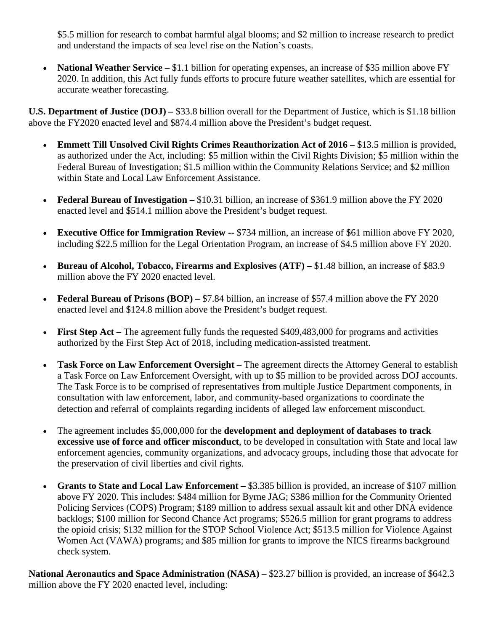\$5.5 million for research to combat harmful algal blooms; and \$2 million to increase research to predict and understand the impacts of sea level rise on the Nation's coasts.

• **National Weather Service** – \$1.1 billion for operating expenses, an increase of \$35 million above FY 2020. In addition, this Act fully funds efforts to procure future weather satellites, which are essential for accurate weather forecasting.

**U.S. Department of Justice (DOJ) –** \$33.8 billion overall for the Department of Justice, which is \$1.18 billion above the FY2020 enacted level and \$874.4 million above the President's budget request.

- **Emmett Till Unsolved Civil Rights Crimes Reauthorization Act of 2016 –** \$13.5 million is provided, as authorized under the Act, including: \$5 million within the Civil Rights Division; \$5 million within the Federal Bureau of Investigation; \$1.5 million within the Community Relations Service; and \$2 million within State and Local Law Enforcement Assistance.
- **Federal Bureau of Investigation** \$10.31 billion, an increase of \$361.9 million above the FY 2020 enacted level and \$514.1 million above the President's budget request.
- **Executive Office for Immigration Review --** \$734 million, an increase of \$61 million above FY 2020, including \$22.5 million for the Legal Orientation Program, an increase of \$4.5 million above FY 2020.
- **Bureau of Alcohol, Tobacco, Firearms and Explosives (ATF)** \$1.48 billion, an increase of \$83.9 million above the FY 2020 enacted level.
- **Federal Bureau of Prisons (BOP)** \$7.84 billion, an increase of \$57.4 million above the FY 2020 enacted level and \$124.8 million above the President's budget request.
- **First Step Act** The agreement fully funds the requested \$409,483,000 for programs and activities authorized by the First Step Act of 2018, including medication-assisted treatment.
- **Task Force on Law Enforcement Oversight –** The agreement directs the Attorney General to establish a Task Force on Law Enforcement Oversight, with up to \$5 million to be provided across DOJ accounts. The Task Force is to be comprised of representatives from multiple Justice Department components, in consultation with law enforcement, labor, and community-based organizations to coordinate the detection and referral of complaints regarding incidents of alleged law enforcement misconduct.
- The agreement includes \$5,000,000 for the **development and deployment of databases to track excessive use of force and officer misconduct**, to be developed in consultation with State and local law enforcement agencies, community organizations, and advocacy groups, including those that advocate for the preservation of civil liberties and civil rights.
- **Grants to State and Local Law Enforcement –** \$3.385 billion is provided, an increase of \$107 million above FY 2020. This includes: \$484 million for Byrne JAG; \$386 million for the Community Oriented Policing Services (COPS) Program; \$189 million to address sexual assault kit and other DNA evidence backlogs; \$100 million for Second Chance Act programs; \$526.5 million for grant programs to address the opioid crisis; \$132 million for the STOP School Violence Act; \$513.5 million for Violence Against Women Act (VAWA) programs; and \$85 million for grants to improve the NICS firearms background check system.

**National Aeronautics and Space Administration (NASA)** – \$23.27 billion is provided, an increase of \$642.3 million above the FY 2020 enacted level, including: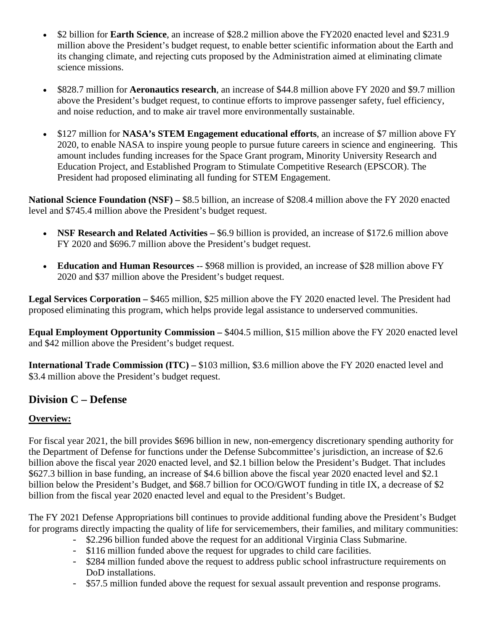- \$2 billion for **Earth Science**, an increase of \$28.2 million above the FY2020 enacted level and \$231.9 million above the President's budget request, to enable better scientific information about the Earth and its changing climate, and rejecting cuts proposed by the Administration aimed at eliminating climate science missions.
- \$828.7 million for **Aeronautics research**, an increase of \$44.8 million above FY 2020 and \$9.7 million above the President's budget request, to continue efforts to improve passenger safety, fuel efficiency, and noise reduction, and to make air travel more environmentally sustainable.
- \$127 million for **NASA's STEM Engagement educational efforts**, an increase of \$7 million above FY 2020, to enable NASA to inspire young people to pursue future careers in science and engineering. This amount includes funding increases for the Space Grant program, Minority University Research and Education Project, and Established Program to Stimulate Competitive Research (EPSCOR). The President had proposed eliminating all funding for STEM Engagement.

**National Science Foundation (NSF) –** \$8.5 billion, an increase of \$208.4 million above the FY 2020 enacted level and \$745.4 million above the President's budget request.

- **NSF Research and Related Activities** \$6.9 billion is provided, an increase of \$172.6 million above FY 2020 and \$696.7 million above the President's budget request.
- **Education and Human Resources -** \$968 million is provided, an increase of \$28 million above FY 2020 and \$37 million above the President's budget request.

**Legal Services Corporation –** \$465 million, \$25 million above the FY 2020 enacted level. The President had proposed eliminating this program, which helps provide legal assistance to underserved communities.

**Equal Employment Opportunity Commission –** \$404.5 million, \$15 million above the FY 2020 enacted level and \$42 million above the President's budget request.

**International Trade Commission (ITC) – \$103 million, \$3.6 million above the FY 2020 enacted level and** \$3.4 million above the President's budget request.

# **Division C – Defense**

### **Overview:**

For fiscal year 2021, the bill provides \$696 billion in new, non-emergency discretionary spending authority for the Department of Defense for functions under the Defense Subcommittee's jurisdiction, an increase of \$2.6 billion above the fiscal year 2020 enacted level, and \$2.1 billion below the President's Budget. That includes \$627.3 billion in base funding, an increase of \$4.6 billion above the fiscal year 2020 enacted level and \$2.1 billion below the President's Budget, and \$68.7 billion for OCO/GWOT funding in title IX, a decrease of \$2 billion from the fiscal year 2020 enacted level and equal to the President's Budget.

The FY 2021 Defense Appropriations bill continues to provide additional funding above the President's Budget for programs directly impacting the quality of life for servicemembers, their families, and military communities:

- \$2.296 billion funded above the request for an additional Virginia Class Submarine.
- \$116 million funded above the request for upgrades to child care facilities.
- \$284 million funded above the request to address public school infrastructure requirements on DoD installations.
- \$57.5 million funded above the request for sexual assault prevention and response programs.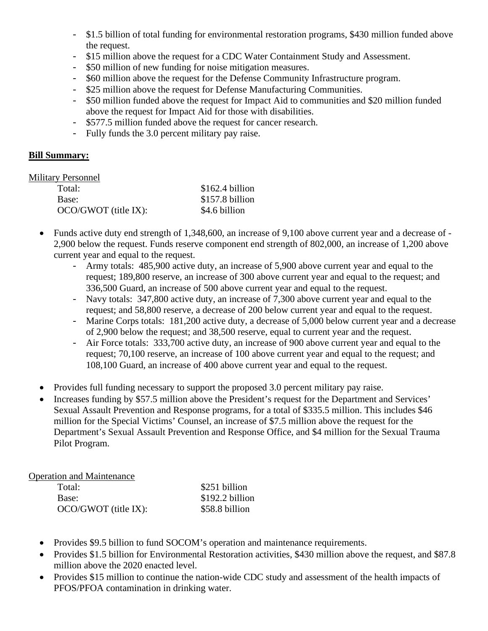- \$1.5 billion of total funding for environmental restoration programs, \$430 million funded above the request.
- \$15 million above the request for a CDC Water Containment Study and Assessment.
- \$50 million of new funding for noise mitigation measures.
- \$60 million above the request for the Defense Community Infrastructure program.
- \$25 million above the request for Defense Manufacturing Communities.
- \$50 million funded above the request for Impact Aid to communities and \$20 million funded above the request for Impact Aid for those with disabilities.
- \$577.5 million funded above the request for cancer research.
- Fully funds the 3.0 percent military pay raise.

#### **Bill Summary:**

#### Military Personnel

| Total:               | $$162.4$ billion |
|----------------------|------------------|
| Base:                | \$157.8 billion  |
| OCO/GWOT (title IX): | \$4.6 billion    |

- Funds active duty end strength of 1,348,600, an increase of 9,100 above current year and a decrease of 2,900 below the request. Funds reserve component end strength of 802,000, an increase of 1,200 above current year and equal to the request.
	- Army totals: 485,900 active duty, an increase of 5,900 above current year and equal to the request; 189,800 reserve, an increase of 300 above current year and equal to the request; and 336,500 Guard, an increase of 500 above current year and equal to the request.
	- Navy totals: 347,800 active duty, an increase of 7,300 above current year and equal to the request; and 58,800 reserve, a decrease of 200 below current year and equal to the request.
	- Marine Corps totals: 181,200 active duty, a decrease of 5,000 below current year and a decrease of 2,900 below the request; and 38,500 reserve, equal to current year and the request.
	- Air Force totals: 333,700 active duty, an increase of 900 above current year and equal to the request; 70,100 reserve, an increase of 100 above current year and equal to the request; and 108,100 Guard, an increase of 400 above current year and equal to the request.
- Provides full funding necessary to support the proposed 3.0 percent military pay raise.
- Increases funding by \$57.5 million above the President's request for the Department and Services' Sexual Assault Prevention and Response programs, for a total of \$335.5 million. This includes \$46 million for the Special Victims' Counsel, an increase of \$7.5 million above the request for the Department's Sexual Assault Prevention and Response Office, and \$4 million for the Sexual Trauma Pilot Program.

#### Operation and Maintenance

| Total:               | \$251 billion   |
|----------------------|-----------------|
| Base:                | \$192.2 billion |
| OCO/GWOT (title IX): | \$58.8 billion  |

- Provides \$9.5 billion to fund SOCOM's operation and maintenance requirements.
- Provides \$1.5 billion for Environmental Restoration activities, \$430 million above the request, and \$87.8 million above the 2020 enacted level.
- Provides \$15 million to continue the nation-wide CDC study and assessment of the health impacts of PFOS/PFOA contamination in drinking water.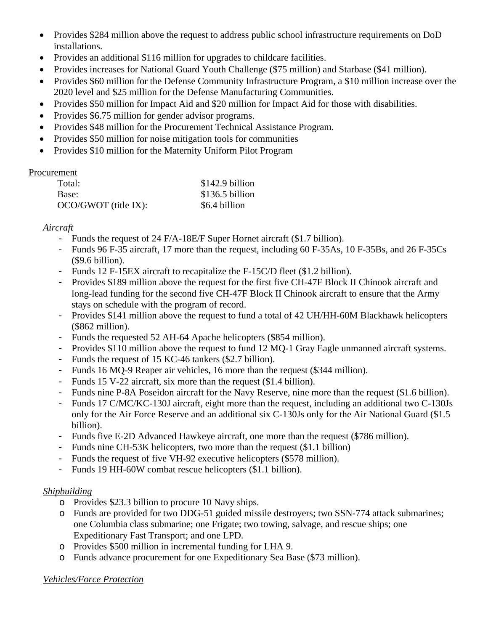- Provides \$284 million above the request to address public school infrastructure requirements on DoD installations.
- Provides an additional \$116 million for upgrades to childcare facilities.
- Provides increases for National Guard Youth Challenge (\$75 million) and Starbase (\$41 million).
- Provides \$60 million for the Defense Community Infrastructure Program, a \$10 million increase over the 2020 level and \$25 million for the Defense Manufacturing Communities.
- Provides \$50 million for Impact Aid and \$20 million for Impact Aid for those with disabilities.
- Provides \$6.75 million for gender advisor programs.
- Provides \$48 million for the Procurement Technical Assistance Program.
- Provides \$50 million for noise mitigation tools for communities
- Provides \$10 million for the Maternity Uniform Pilot Program

#### **Procurement**

| Total:                 | $$142.9$ billion |
|------------------------|------------------|
| Base:                  | $$136.5$ billion |
| $OCO/GWOT$ (title IX): | \$6.4 billion    |

### *Aircraft*

- Funds the request of 24 F/A-18E/F Super Hornet aircraft (\$1.7 billion).
- Funds 96 F-35 aircraft, 17 more than the request, including 60 F-35As, 10 F-35Bs, and 26 F-35Cs (\$9.6 billion).
- Funds 12 F-15EX aircraft to recapitalize the F-15C/D fleet (\$1.2 billion).
- Provides \$189 million above the request for the first five CH-47F Block II Chinook aircraft and long-lead funding for the second five CH-47F Block II Chinook aircraft to ensure that the Army stays on schedule with the program of record.
- Provides \$141 million above the request to fund a total of 42 UH/HH-60M Blackhawk helicopters (\$862 million).
- Funds the requested 52 AH-64 Apache helicopters (\$854 million).
- Provides \$110 million above the request to fund 12 MQ-1 Gray Eagle unmanned aircraft systems.
- Funds the request of 15 KC-46 tankers (\$2.7 billion).
- Funds 16 MQ-9 Reaper air vehicles, 16 more than the request (\$344 million).
- Funds 15 V-22 aircraft, six more than the request (\$1.4 billion).
- Funds nine P-8A Poseidon aircraft for the Navy Reserve, nine more than the request (\$1.6 billion).
- Funds 17 C/MC/KC-130J aircraft, eight more than the request, including an additional two C-130Js only for the Air Force Reserve and an additional six C-130Js only for the Air National Guard (\$1.5 billion).
- Funds five E-2D Advanced Hawkeye aircraft, one more than the request (\$786 million).
- Funds nine CH-53K helicopters, two more than the request (\$1.1 billion)
- Funds the request of five VH-92 executive helicopters (\$578 million).
- Funds 19 HH-60W combat rescue helicopters (\$1.1 billion).

### *Shipbuilding*

- o Provides \$23.3 billion to procure 10 Navy ships.
- o Funds are provided for two DDG-51 guided missile destroyers; two SSN-774 attack submarines; one Columbia class submarine; one Frigate; two towing, salvage, and rescue ships; one Expeditionary Fast Transport; and one LPD.
- o Provides \$500 million in incremental funding for LHA 9.
- o Funds advance procurement for one Expeditionary Sea Base (\$73 million).

### *Vehicles/Force Protection*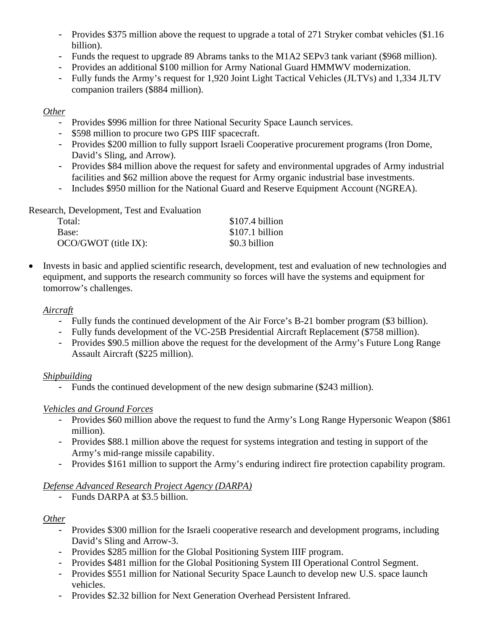- Provides \$375 million above the request to upgrade a total of 271 Stryker combat vehicles (\$1.16 billion).
- Funds the request to upgrade 89 Abrams tanks to the M1A2 SEPv3 tank variant (\$968 million).
- Provides an additional \$100 million for Army National Guard HMMWV modernization.
- Fully funds the Army's request for 1,920 Joint Light Tactical Vehicles (JLTVs) and 1,334 JLTV companion trailers (\$884 million).

#### *Other*

- Provides \$996 million for three National Security Space Launch services.
- \$598 million to procure two GPS IIIF spacecraft.
- Provides \$200 million to fully support Israeli Cooperative procurement programs (Iron Dome, David's Sling, and Arrow).
- Provides \$84 million above the request for safety and environmental upgrades of Army industrial facilities and \$62 million above the request for Army organic industrial base investments.
- Includes \$950 million for the National Guard and Reserve Equipment Account (NGREA).

Research, Development, Test and Evaluation

| Total:               | \$107.4 billion |
|----------------------|-----------------|
| Base:                | \$107.1 billion |
| OCO/GWOT (title IX): | \$0.3 billion   |

• Invests in basic and applied scientific research, development, test and evaluation of new technologies and equipment, and supports the research community so forces will have the systems and equipment for tomorrow's challenges.

#### *Aircraft*

- Fully funds the continued development of the Air Force's B-21 bomber program (\$3 billion).
- Fully funds development of the VC-25B Presidential Aircraft Replacement (\$758 million).
- Provides \$90.5 million above the request for the development of the Army's Future Long Range Assault Aircraft (\$225 million).

### *Shipbuilding*

- Funds the continued development of the new design submarine (\$243 million).

### *Vehicles and Ground Forces*

- Provides \$60 million above the request to fund the Army's Long Range Hypersonic Weapon (\$861 million).
- Provides \$88.1 million above the request for systems integration and testing in support of the Army's mid-range missile capability.
- Provides \$161 million to support the Army's enduring indirect fire protection capability program.

### *Defense Advanced Research Project Agency (DARPA)*

- Funds DARPA at \$3.5 billion.

### *Other*

- Provides \$300 million for the Israeli cooperative research and development programs, including David's Sling and Arrow-3.
- Provides \$285 million for the Global Positioning System IIIF program.
- Provides \$481 million for the Global Positioning System III Operational Control Segment.
- Provides \$551 million for National Security Space Launch to develop new U.S. space launch vehicles.
- Provides \$2.32 billion for Next Generation Overhead Persistent Infrared.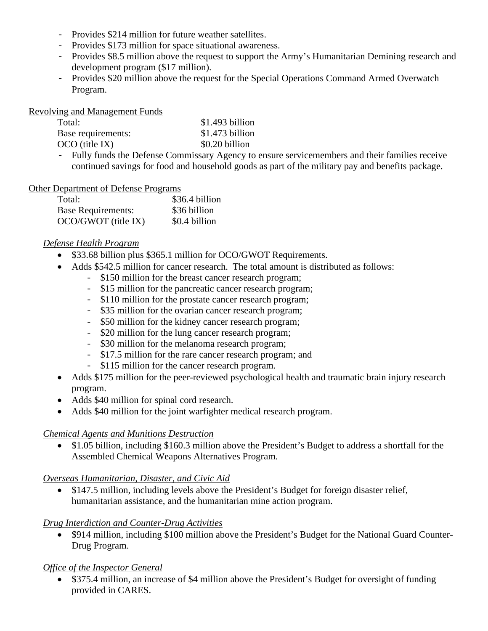- Provides \$214 million for future weather satellites.
- Provides \$173 million for space situational awareness.
- Provides \$8.5 million above the request to support the Army's Humanitarian Demining research and development program (\$17 million).
- Provides \$20 million above the request for the Special Operations Command Armed Overwatch Program.

Revolving and Management Funds

| Total:             | \$1.493 billion  |
|--------------------|------------------|
| Base requirements: | $$1.473$ billion |
| $OCO$ (title IX)   | \$0.20 billion   |

- Fully funds the Defense Commissary Agency to ensure servicemembers and their families receive continued savings for food and household goods as part of the military pay and benefits package.

#### Other Department of Defense Programs

| Total:                    | \$36.4 billion |
|---------------------------|----------------|
| <b>Base Requirements:</b> | \$36 billion   |
| OCO/GWOT (title IX)       | \$0.4 billion  |

#### *Defense Health Program*

- \$33.68 billion plus \$365.1 million for OCO/GWOT Requirements.
- Adds \$542.5 million for cancer research. The total amount is distributed as follows:
	- \$150 million for the breast cancer research program;
	- \$15 million for the pancreatic cancer research program;
	- \$110 million for the prostate cancer research program;
	- \$35 million for the ovarian cancer research program;
	- \$50 million for the kidney cancer research program;
	- \$20 million for the lung cancer research program;
	- \$30 million for the melanoma research program;
	- \$17.5 million for the rare cancer research program; and
	- \$115 million for the cancer research program.
- Adds \$175 million for the peer-reviewed psychological health and traumatic brain injury research program.
- Adds \$40 million for spinal cord research.
- Adds \$40 million for the joint warfighter medical research program.

#### *Chemical Agents and Munitions Destruction*

• \$1.05 billion, including \$160.3 million above the President's Budget to address a shortfall for the Assembled Chemical Weapons Alternatives Program.

#### *Overseas Humanitarian, Disaster, and Civic Aid*

• \$147.5 million, including levels above the President's Budget for foreign disaster relief, humanitarian assistance, and the humanitarian mine action program.

#### *Drug Interdiction and Counter-Drug Activities*

• \$914 million, including \$100 million above the President's Budget for the National Guard Counter-Drug Program.

#### *Office of the Inspector General*

• \$375.4 million, an increase of \$4 million above the President's Budget for oversight of funding provided in CARES.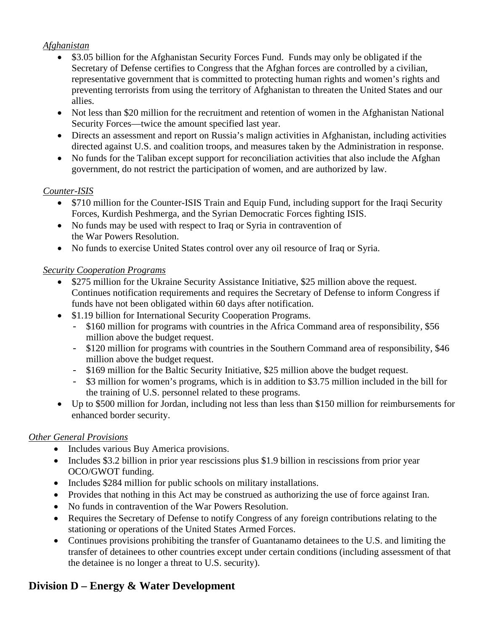#### *Afghanistan*

- \$3.05 billion for the Afghanistan Security Forces Fund. Funds may only be obligated if the Secretary of Defense certifies to Congress that the Afghan forces are controlled by a civilian, representative government that is committed to protecting human rights and women's rights and preventing terrorists from using the territory of Afghanistan to threaten the United States and our allies.
- Not less than \$20 million for the recruitment and retention of women in the Afghanistan National Security Forces—twice the amount specified last year.
- Directs an assessment and report on Russia's malign activities in Afghanistan, including activities directed against U.S. and coalition troops, and measures taken by the Administration in response.
- No funds for the Taliban except support for reconciliation activities that also include the Afghan government, do not restrict the participation of women, and are authorized by law.

#### *Counter-ISIS*

- \$710 million for the Counter-ISIS Train and Equip Fund, including support for the Iraqi Security Forces, Kurdish Peshmerga, and the Syrian Democratic Forces fighting ISIS.
- No funds may be used with respect to Iraq or Syria in contravention of the War Powers Resolution.
- No funds to exercise United States control over any oil resource of Iraq or Syria.

#### *Security Cooperation Programs*

- \$275 million for the Ukraine Security Assistance Initiative, \$25 million above the request. Continues notification requirements and requires the Secretary of Defense to inform Congress if funds have not been obligated within 60 days after notification.
- \$1.19 billion for International Security Cooperation Programs.
	- \$160 million for programs with countries in the Africa Command area of responsibility, \$56 million above the budget request.
	- \$120 million for programs with countries in the Southern Command area of responsibility, \$46 million above the budget request.
	- \$169 million for the Baltic Security Initiative, \$25 million above the budget request.
	- \$3 million for women's programs, which is in addition to \$3.75 million included in the bill for the training of U.S. personnel related to these programs.
- Up to \$500 million for Jordan, including not less than less than \$150 million for reimbursements for enhanced border security.

### *Other General Provisions*

- Includes various Buy America provisions.
- Includes \$3.2 billion in prior year rescissions plus \$1.9 billion in rescissions from prior year OCO/GWOT funding.
- Includes \$284 million for public schools on military installations.
- Provides that nothing in this Act may be construed as authorizing the use of force against Iran.
- No funds in contravention of the War Powers Resolution.
- Requires the Secretary of Defense to notify Congress of any foreign contributions relating to the stationing or operations of the United States Armed Forces.
- Continues provisions prohibiting the transfer of Guantanamo detainees to the U.S. and limiting the transfer of detainees to other countries except under certain conditions (including assessment of that the detainee is no longer a threat to U.S. security).

# **Division D – Energy & Water Development**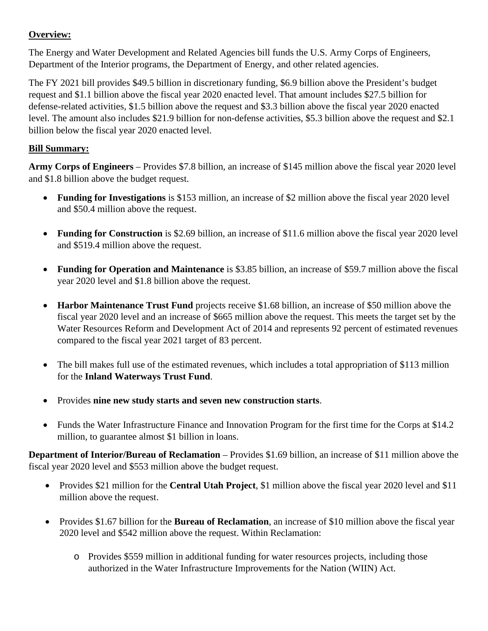### **Overview:**

The Energy and Water Development and Related Agencies bill funds the U.S. Army Corps of Engineers, Department of the Interior programs, the Department of Energy, and other related agencies.

The FY 2021 bill provides \$49.5 billion in discretionary funding, \$6.9 billion above the President's budget request and \$1.1 billion above the fiscal year 2020 enacted level. That amount includes \$27.5 billion for defense-related activities, \$1.5 billion above the request and \$3.3 billion above the fiscal year 2020 enacted level. The amount also includes \$21.9 billion for non-defense activities, \$5.3 billion above the request and \$2.1 billion below the fiscal year 2020 enacted level.

### **Bill Summary:**

**Army Corps of Engineers** – Provides \$7.8 billion, an increase of \$145 million above the fiscal year 2020 level and \$1.8 billion above the budget request.

- **Funding for Investigations** is \$153 million, an increase of \$2 million above the fiscal year 2020 level and \$50.4 million above the request.
- **Funding for Construction** is \$2.69 billion, an increase of \$11.6 million above the fiscal year 2020 level and \$519.4 million above the request.
- **Funding for Operation and Maintenance** is \$3.85 billion, an increase of \$59.7 million above the fiscal year 2020 level and \$1.8 billion above the request.
- **Harbor Maintenance Trust Fund** projects receive \$1.68 billion, an increase of \$50 million above the fiscal year 2020 level and an increase of \$665 million above the request. This meets the target set by the Water Resources Reform and Development Act of 2014 and represents 92 percent of estimated revenues compared to the fiscal year 2021 target of 83 percent.
- The bill makes full use of the estimated revenues, which includes a total appropriation of \$113 million for the **Inland Waterways Trust Fund**.
- Provides **nine new study starts and seven new construction starts**.
- Funds the Water Infrastructure Finance and Innovation Program for the first time for the Corps at \$14.2 million, to guarantee almost \$1 billion in loans.

**Department of Interior/Bureau of Reclamation** – Provides \$1.69 billion, an increase of \$11 million above the fiscal year 2020 level and \$553 million above the budget request.

- Provides \$21 million for the **Central Utah Project**, \$1 million above the fiscal year 2020 level and \$11 million above the request.
- Provides \$1.67 billion for the **Bureau of Reclamation**, an increase of \$10 million above the fiscal year 2020 level and \$542 million above the request. Within Reclamation:
	- o Provides \$559 million in additional funding for water resources projects, including those authorized in the Water Infrastructure Improvements for the Nation (WIIN) Act.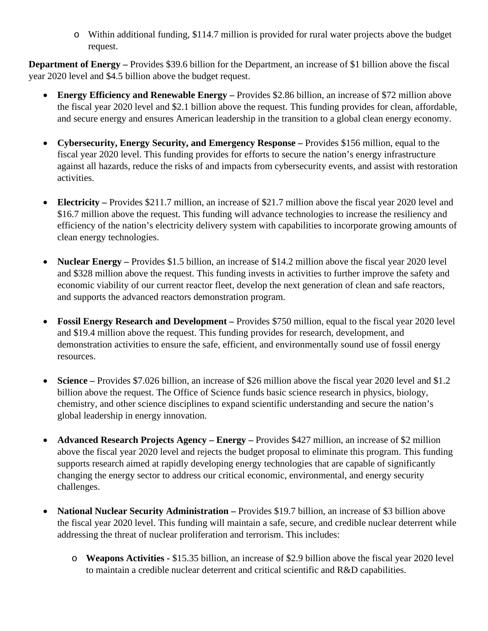o Within additional funding, \$114.7 million is provided for rural water projects above the budget request.

**Department of Energy –** Provides \$39.6 billion for the Department, an increase of \$1 billion above the fiscal year 2020 level and \$4.5 billion above the budget request.

- **Energy Efficiency and Renewable Energy –** Provides \$2.86 billion, an increase of \$72 million above the fiscal year 2020 level and \$2.1 billion above the request. This funding provides for clean, affordable, and secure energy and ensures American leadership in the transition to a global clean energy economy.
- **Cybersecurity, Energy Security, and Emergency Response –** Provides \$156 million, equal to the fiscal year 2020 level. This funding provides for efforts to secure the nation's energy infrastructure against all hazards, reduce the risks of and impacts from cybersecurity events, and assist with restoration activities.
- **Electricity –** Provides \$211.7 million, an increase of \$21.7 million above the fiscal year 2020 level and \$16.7 million above the request. This funding will advance technologies to increase the resiliency and efficiency of the nation's electricity delivery system with capabilities to incorporate growing amounts of clean energy technologies.
- **Nuclear Energy** Provides \$1.5 billion, an increase of \$14.2 million above the fiscal year 2020 level and \$328 million above the request. This funding invests in activities to further improve the safety and economic viability of our current reactor fleet, develop the next generation of clean and safe reactors, and supports the advanced reactors demonstration program.
- **Fossil Energy Research and Development** Provides \$750 million, equal to the fiscal year 2020 level and \$19.4 million above the request. This funding provides for research, development, and demonstration activities to ensure the safe, efficient, and environmentally sound use of fossil energy resources.
- **Science –** Provides \$7.026 billion, an increase of \$26 million above the fiscal year 2020 level and \$1.2 billion above the request. The Office of Science funds basic science research in physics, biology, chemistry, and other science disciplines to expand scientific understanding and secure the nation's global leadership in energy innovation.
- **Advanced Research Projects Agency – Energy –** Provides \$427 million, an increase of \$2 million above the fiscal year 2020 level and rejects the budget proposal to eliminate this program. This funding supports research aimed at rapidly developing energy technologies that are capable of significantly changing the energy sector to address our critical economic, environmental, and energy security challenges.
- **National Nuclear Security Administration** Provides \$19.7 billion, an increase of \$3 billion above the fiscal year 2020 level. This funding will maintain a safe, secure, and credible nuclear deterrent while addressing the threat of nuclear proliferation and terrorism. This includes:
	- o **Weapons Activities -** \$15.35 billion, an increase of \$2.9 billion above the fiscal year 2020 level to maintain a credible nuclear deterrent and critical scientific and R&D capabilities.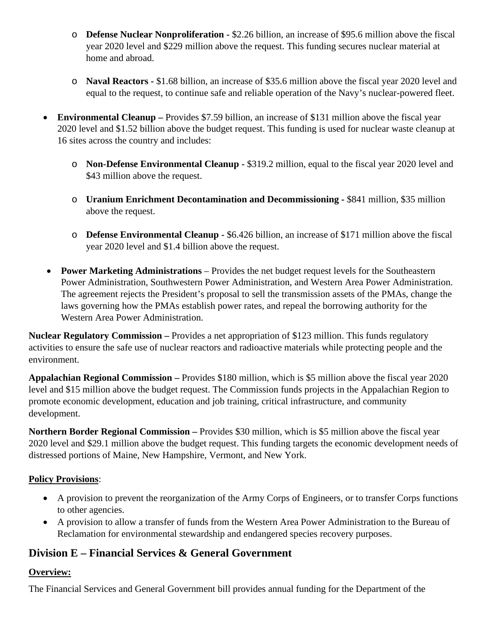- o **Defense Nuclear Nonproliferation -** \$2.26 billion, an increase of \$95.6 million above the fiscal year 2020 level and \$229 million above the request. This funding secures nuclear material at home and abroad.
- o **Naval Reactors -** \$1.68 billion, an increase of \$35.6 million above the fiscal year 2020 level and equal to the request, to continue safe and reliable operation of the Navy's nuclear-powered fleet.
- **Environmental Cleanup** Provides \$7.59 billion, an increase of \$131 million above the fiscal year 2020 level and \$1.52 billion above the budget request. This funding is used for nuclear waste cleanup at 16 sites across the country and includes:
	- o **Non-Defense Environmental Cleanup -** \$319.2 million, equal to the fiscal year 2020 level and \$43 million above the request.
	- o **Uranium Enrichment Decontamination and Decommissioning -** \$841 million, \$35 million above the request.
	- o **Defense Environmental Cleanup -** \$6.426 billion, an increase of \$171 million above the fiscal year 2020 level and \$1.4 billion above the request.
- **Power Marketing Administrations** Provides the net budget request levels for the Southeastern Power Administration, Southwestern Power Administration, and Western Area Power Administration. The agreement rejects the President's proposal to sell the transmission assets of the PMAs, change the laws governing how the PMAs establish power rates, and repeal the borrowing authority for the Western Area Power Administration.

**Nuclear Regulatory Commission –** Provides a net appropriation of \$123 million. This funds regulatory activities to ensure the safe use of nuclear reactors and radioactive materials while protecting people and the environment.

**Appalachian Regional Commission –** Provides \$180 million, which is \$5 million above the fiscal year 2020 level and \$15 million above the budget request. The Commission funds projects in the Appalachian Region to promote economic development, education and job training, critical infrastructure, and community development.

**Northern Border Regional Commission –** Provides \$30 million, which is \$5 million above the fiscal year 2020 level and \$29.1 million above the budget request. This funding targets the economic development needs of distressed portions of Maine, New Hampshire, Vermont, and New York.

### **Policy Provisions**:

- A provision to prevent the reorganization of the Army Corps of Engineers, or to transfer Corps functions to other agencies.
- A provision to allow a transfer of funds from the Western Area Power Administration to the Bureau of Reclamation for environmental stewardship and endangered species recovery purposes.

# **Division E – Financial Services & General Government**

### **Overview:**

The Financial Services and General Government bill provides annual funding for the Department of the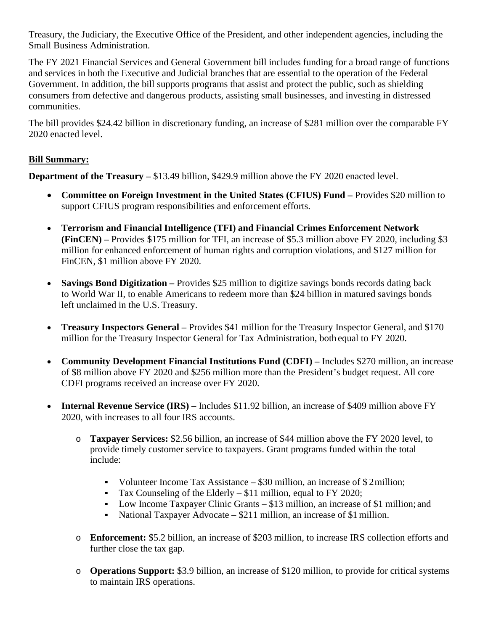Treasury, the Judiciary, the Executive Office of the President, and other independent agencies, including the Small Business Administration.

The FY 2021 Financial Services and General Government bill includes funding for a broad range of functions and services in both the Executive and Judicial branches that are essential to the operation of the Federal Government. In addition, the bill supports programs that assist and protect the public, such as shielding consumers from defective and dangerous products, assisting small businesses, and investing in distressed communities.

The bill provides \$24.42 billion in discretionary funding, an increase of \$281 million over the comparable FY 2020 enacted level.

### **Bill Summary:**

**Department of the Treasury –** \$13.49 billion, \$429.9 million above the FY 2020 enacted level.

- **Committee on Foreign Investment in the United States (CFIUS) Fund –** Provides \$20 million to support CFIUS program responsibilities and enforcement efforts.
- **Terrorism and Financial Intelligence (TFI) and Financial Crimes Enforcement Network (FinCEN) –** Provides \$175 million for TFI, an increase of \$5.3 million above FY 2020, including \$3 million for enhanced enforcement of human rights and corruption violations, and \$127 million for FinCEN, \$1 million above FY 2020.
- **Savings Bond Digitization** Provides \$25 million to digitize savings bonds records dating back to World War II, to enable Americans to redeem more than \$24 billion in matured savings bonds left unclaimed in the U.S. Treasury.
- **Treasury Inspectors General –** Provides \$41 million for the Treasury Inspector General, and \$170 million for the Treasury Inspector General for Tax Administration, both equal to FY 2020.
- **Community Development Financial Institutions Fund (CDFI) –** Includes \$270 million, an increase of \$8 million above FY 2020 and \$256 million more than the President's budget request. All core CDFI programs received an increase over FY 2020.
- **Internal Revenue Service (IRS) –** Includes \$11.92 billion, an increase of \$409 million above FY 2020, with increases to all four IRS accounts.
	- o **Taxpayer Services:** \$2.56 billion, an increase of \$44 million above the FY 2020 level, to provide timely customer service to taxpayers. Grant programs funded within the total include:
		- Volunteer Income Tax Assistance \$30 million, an increase of \$ 2 million;
		- Tax Counseling of the Elderly \$11 million, equal to FY 2020;
		- Low Income Taxpayer Clinic Grants \$13 million, an increase of \$1 million; and
		- National Taxpayer Advocate \$211 million, an increase of \$1 million.
	- o **Enforcement:** \$5.2 billion, an increase of \$203 million, to increase IRS collection efforts and further close the tax gap.
	- o **Operations Support:** \$3.9 billion, an increase of \$120 million, to provide for critical systems to maintain IRS operations.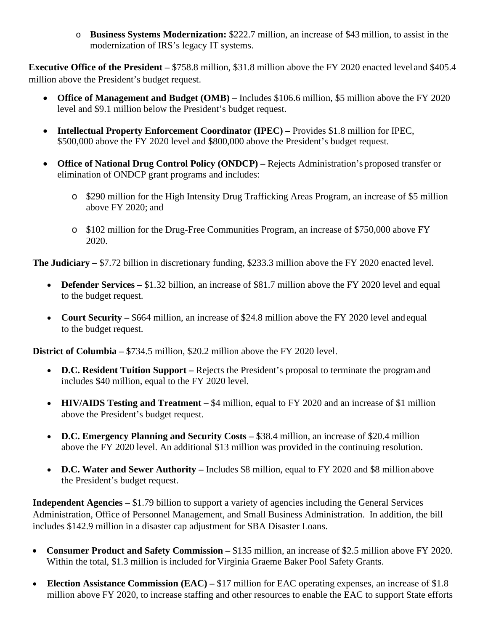o **Business Systems Modernization:** \$222.7 million, an increase of \$43 million, to assist in the modernization of IRS's legacy IT systems.

**Executive Office of the President –** \$758.8 million, \$31.8 million above the FY 2020 enacted level and \$405.4 million above the President's budget request.

- **Office of Management and Budget (OMB)** Includes \$106.6 million, \$5 million above the FY 2020 level and \$9.1 million below the President's budget request.
- **Intellectual Property Enforcement Coordinator (IPEC) –** Provides \$1.8 million for IPEC, \$500,000 above the FY 2020 level and \$800,000 above the President's budget request.
- **Office of National Drug Control Policy (ONDCP)** Rejects Administration's proposed transfer or elimination of ONDCP grant programs and includes:
	- o \$290 million for the High Intensity Drug Trafficking Areas Program, an increase of \$5 million above FY 2020; and
	- o \$102 million for the Drug-Free Communities Program, an increase of \$750,000 above FY 2020.

**The Judiciary –** \$7.72 billion in discretionary funding, \$233.3 million above the FY 2020 enacted level.

- **Defender Services** \$1.32 billion, an increase of \$81.7 million above the FY 2020 level and equal to the budget request.
- **Court Security** \$664 million, an increase of \$24.8 million above the FY 2020 level and equal to the budget request.

**District of Columbia –** \$734.5 million, \$20.2 million above the FY 2020 level.

- **D.C. Resident Tuition Support** Rejects the President's proposal to terminate the program and includes \$40 million, equal to the FY 2020 level.
- **HIV/AIDS Testing and Treatment** \$4 million, equal to FY 2020 and an increase of \$1 million above the President's budget request.
- **D.C. Emergency Planning and Security Costs –** \$38.4 million, an increase of \$20.4 million above the FY 2020 level. An additional \$13 million was provided in the continuing resolution.
- **D.C. Water and Sewer Authority** Includes \$8 million, equal to FY 2020 and \$8 million above the President's budget request.

**Independent Agencies –** \$1.79 billion to support a variety of agencies including the General Services Administration, Office of Personnel Management, and Small Business Administration. In addition, the bill includes \$142.9 million in a disaster cap adjustment for SBA Disaster Loans.

- **Consumer Product and Safety Commission –** \$135 million, an increase of \$2.5 million above FY 2020. Within the total, \$1.3 million is included for Virginia Graeme Baker Pool Safety Grants.
- **Election Assistance Commission (EAC) \$17 million for EAC operating expenses, an increase of \$1.8** million above FY 2020, to increase staffing and other resources to enable the EAC to support State efforts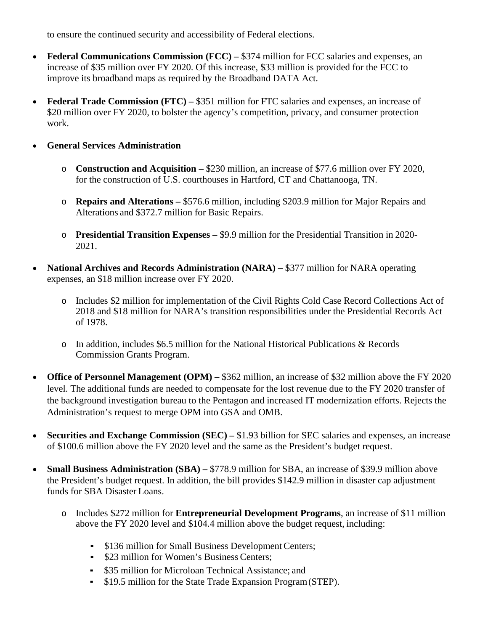to ensure the continued security and accessibility of Federal elections.

- **Federal Communications Commission (FCC)** \$374 million for FCC salaries and expenses, an increase of \$35 million over FY 2020. Of this increase, \$33 million is provided for the FCC to improve its broadband maps as required by the Broadband DATA Act.
- **Federal Trade Commission (FTC)** \$351 million for FTC salaries and expenses, an increase of \$20 million over FY 2020, to bolster the agency's competition, privacy, and consumer protection work.
- **General Services Administration** 
	- o **Construction and Acquisition –** \$230 million, an increase of \$77.6 million over FY 2020, for the construction of U.S. courthouses in Hartford, CT and Chattanooga, TN.
	- o **Repairs and Alterations –** \$576.6 million, including \$203.9 million for Major Repairs and Alterations and \$372.7 million for Basic Repairs.
	- o **Presidential Transition Expenses –** \$9.9 million for the Presidential Transition in 2020- 2021.
- **National Archives and Records Administration (NARA) –** \$377 million for NARA operating expenses, an \$18 million increase over FY 2020.
	- o Includes \$2 million for implementation of the Civil Rights Cold Case Record Collections Act of 2018 and \$18 million for NARA's transition responsibilities under the Presidential Records Act of 1978.
	- o In addition, includes \$6.5 million for the National Historical Publications & Records Commission Grants Program.
- **Office of Personnel Management (OPM) –** \$362 million, an increase of \$32 million above the FY 2020 level. The additional funds are needed to compensate for the lost revenue due to the FY 2020 transfer of the background investigation bureau to the Pentagon and increased IT modernization efforts. Rejects the Administration's request to merge OPM into GSA and OMB.
- **Securities and Exchange Commission (SEC)** \$1.93 billion for SEC salaries and expenses, an increase of \$100.6 million above the FY 2020 level and the same as the President's budget request.
- **Small Business Administration (SBA)** \$778.9 million for SBA, an increase of \$39.9 million above the President's budget request. In addition, the bill provides \$142.9 million in disaster cap adjustment funds for SBA Disaster Loans.
	- o Includes \$272 million for **Entrepreneurial Development Programs**, an increase of \$11 million above the FY 2020 level and \$104.4 million above the budget request, including:
		- \$136 million for Small Business Development Centers;
		- **\$23 million for Women's Business Centers;**
		- \$35 million for Microloan Technical Assistance; and
		- \$19.5 million for the State Trade Expansion Program(STEP).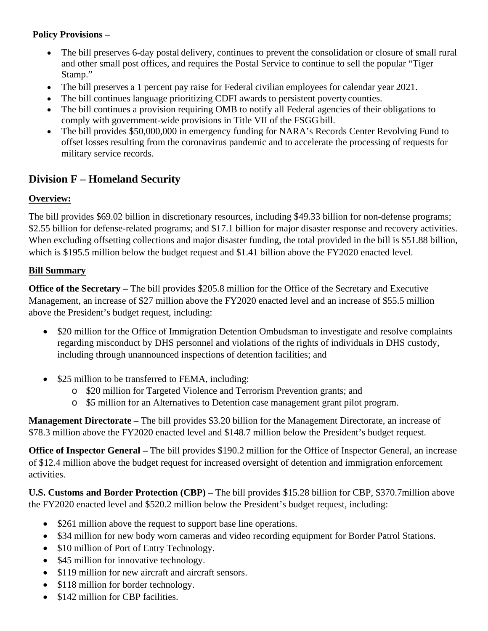### **Policy Provisions –**

- The bill preserves 6-day postal delivery, continues to prevent the consolidation or closure of small rural and other small post offices, and requires the Postal Service to continue to sell the popular "Tiger Stamp."
- The bill preserves a 1 percent pay raise for Federal civilian employees for calendar year 2021.
- The bill continues language prioritizing CDFI awards to persistent poverty counties.
- The bill continues a provision requiring OMB to notify all Federal agencies of their obligations to comply with government-wide provisions in Title VII of the FSGG bill.
- The bill provides \$50,000,000 in emergency funding for NARA's Records Center Revolving Fund to offset losses resulting from the coronavirus pandemic and to accelerate the processing of requests for military service records.

# **Division F – Homeland Security**

### **Overview:**

The bill provides \$69.02 billion in discretionary resources, including \$49.33 billion for non-defense programs; \$2.55 billion for defense-related programs; and \$17.1 billion for major disaster response and recovery activities. When excluding offsetting collections and major disaster funding, the total provided in the bill is \$51.88 billion, which is \$195.5 million below the budget request and \$1.41 billion above the FY2020 enacted level.

### **Bill Summary**

**Office of the Secretary** – The bill provides \$205.8 million for the Office of the Secretary and Executive Management, an increase of \$27 million above the FY2020 enacted level and an increase of \$55.5 million above the President's budget request, including:

- \$20 million for the Office of Immigration Detention Ombudsman to investigate and resolve complaints regarding misconduct by DHS personnel and violations of the rights of individuals in DHS custody, including through unannounced inspections of detention facilities; and
- \$25 million to be transferred to FEMA, including:
	- o \$20 million for Targeted Violence and Terrorism Prevention grants; and
	- o \$5 million for an Alternatives to Detention case management grant pilot program.

**Management Directorate –** The bill provides \$3.20 billion for the Management Directorate, an increase of \$78.3 million above the FY2020 enacted level and \$148.7 million below the President's budget request.

**Office of Inspector General –** The bill provides \$190.2 million for the Office of Inspector General, an increase of \$12.4 million above the budget request for increased oversight of detention and immigration enforcement activities.

**U.S. Customs and Border Protection (CBP) –** The bill provides \$15.28 billion for CBP, \$370.7million above the FY2020 enacted level and \$520.2 million below the President's budget request, including:

- \$261 million above the request to support base line operations.
- \$34 million for new body worn cameras and video recording equipment for Border Patrol Stations.
- \$10 million of Port of Entry Technology.
- \$45 million for innovative technology.
- \$119 million for new aircraft and aircraft sensors.
- \$118 million for border technology.
- \$142 million for CBP facilities.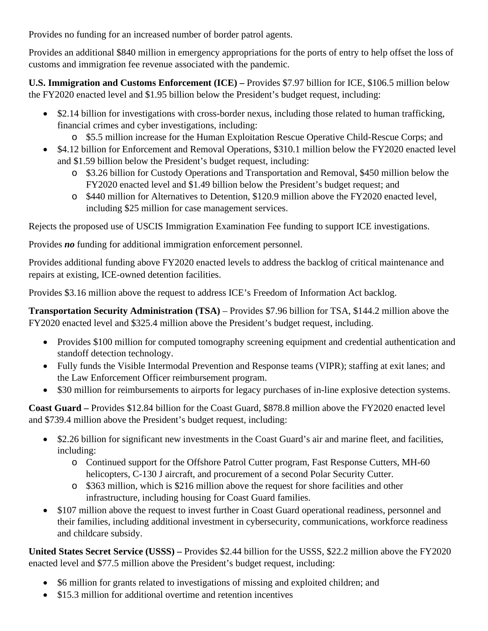Provides no funding for an increased number of border patrol agents.

Provides an additional \$840 million in emergency appropriations for the ports of entry to help offset the loss of customs and immigration fee revenue associated with the pandemic.

**U.S. Immigration and Customs Enforcement (ICE) –** Provides \$7.97 billion for ICE, \$106.5 million below the FY2020 enacted level and \$1.95 billion below the President's budget request, including:

- \$2.14 billion for investigations with cross-border nexus, including those related to human trafficking, financial crimes and cyber investigations, including:
	- o \$5.5 million increase for the Human Exploitation Rescue Operative Child-Rescue Corps; and
- \$4.12 billion for Enforcement and Removal Operations, \$310.1 million below the FY2020 enacted level and \$1.59 billion below the President's budget request, including:
	- o \$3.26 billion for Custody Operations and Transportation and Removal, \$450 million below the FY2020 enacted level and \$1.49 billion below the President's budget request; and
	- o \$440 million for Alternatives to Detention, \$120.9 million above the FY2020 enacted level, including \$25 million for case management services.

Rejects the proposed use of USCIS Immigration Examination Fee funding to support ICE investigations.

Provides *no* funding for additional immigration enforcement personnel.

Provides additional funding above FY2020 enacted levels to address the backlog of critical maintenance and repairs at existing, ICE-owned detention facilities.

Provides \$3.16 million above the request to address ICE's Freedom of Information Act backlog.

**Transportation Security Administration (TSA)** – Provides \$7.96 billion for TSA, \$144.2 million above the FY2020 enacted level and \$325.4 million above the President's budget request, including.

- Provides \$100 million for computed tomography screening equipment and credential authentication and standoff detection technology.
- Fully funds the Visible Intermodal Prevention and Response teams (VIPR); staffing at exit lanes; and the Law Enforcement Officer reimbursement program.
- \$30 million for reimbursements to airports for legacy purchases of in-line explosive detection systems.

**Coast Guard –** Provides \$12.84 billion for the Coast Guard, \$878.8 million above the FY2020 enacted level and \$739.4 million above the President's budget request, including:

- \$2.26 billion for significant new investments in the Coast Guard's air and marine fleet, and facilities, including:
	- o Continued support for the Offshore Patrol Cutter program, Fast Response Cutters, MH-60 helicopters, C-130 J aircraft, and procurement of a second Polar Security Cutter.
	- o \$363 million, which is \$216 million above the request for shore facilities and other infrastructure, including housing for Coast Guard families.
- \$107 million above the request to invest further in Coast Guard operational readiness, personnel and their families, including additional investment in cybersecurity, communications, workforce readiness and childcare subsidy.

**United States Secret Service (USSS) –** Provides \$2.44 billion for the USSS, \$22.2 million above the FY2020 enacted level and \$77.5 million above the President's budget request, including:

- \$6 million for grants related to investigations of missing and exploited children; and
- \$15.3 million for additional overtime and retention incentives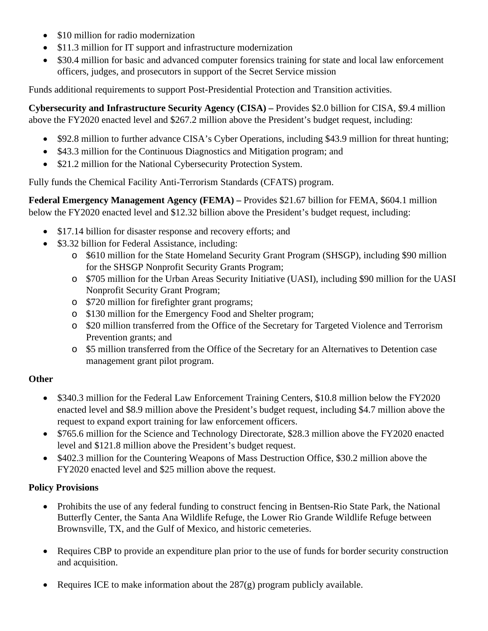- \$10 million for radio modernization
- \$11.3 million for IT support and infrastructure modernization
- \$30.4 million for basic and advanced computer forensics training for state and local law enforcement officers, judges, and prosecutors in support of the Secret Service mission

Funds additional requirements to support Post-Presidential Protection and Transition activities.

**Cybersecurity and Infrastructure Security Agency (CISA) –** Provides \$2.0 billion for CISA, \$9.4 million above the FY2020 enacted level and \$267.2 million above the President's budget request, including:

- \$92.8 million to further advance CISA's Cyber Operations, including \$43.9 million for threat hunting;
- \$43.3 million for the Continuous Diagnostics and Mitigation program; and
- \$21.2 million for the National Cybersecurity Protection System.

Fully funds the Chemical Facility Anti-Terrorism Standards (CFATS) program.

**Federal Emergency Management Agency (FEMA) –** Provides \$21.67 billion for FEMA, \$604.1 million below the FY2020 enacted level and \$12.32 billion above the President's budget request, including:

- \$17.14 billion for disaster response and recovery efforts; and
- \$3.32 billion for Federal Assistance, including:
	- o \$610 million for the State Homeland Security Grant Program (SHSGP), including \$90 million for the SHSGP Nonprofit Security Grants Program;
	- o \$705 million for the Urban Areas Security Initiative (UASI), including \$90 million for the UASI Nonprofit Security Grant Program;
	- o \$720 million for firefighter grant programs;
	- o \$130 million for the Emergency Food and Shelter program;
	- o \$20 million transferred from the Office of the Secretary for Targeted Violence and Terrorism Prevention grants; and
	- o \$5 million transferred from the Office of the Secretary for an Alternatives to Detention case management grant pilot program.

### **Other**

- \$340.3 million for the Federal Law Enforcement Training Centers, \$10.8 million below the FY2020 enacted level and \$8.9 million above the President's budget request, including \$4.7 million above the request to expand export training for law enforcement officers.
- \$765.6 million for the Science and Technology Directorate, \$28.3 million above the FY2020 enacted level and \$121.8 million above the President's budget request.
- \$402.3 million for the Countering Weapons of Mass Destruction Office, \$30.2 million above the FY2020 enacted level and \$25 million above the request.

### **Policy Provisions**

- Prohibits the use of any federal funding to construct fencing in Bentsen-Rio State Park, the National Butterfly Center, the Santa Ana Wildlife Refuge, the Lower Rio Grande Wildlife Refuge between Brownsville, TX, and the Gulf of Mexico, and historic cemeteries.
- Requires CBP to provide an expenditure plan prior to the use of funds for border security construction and acquisition.
- Requires ICE to make information about the 287(g) program publicly available.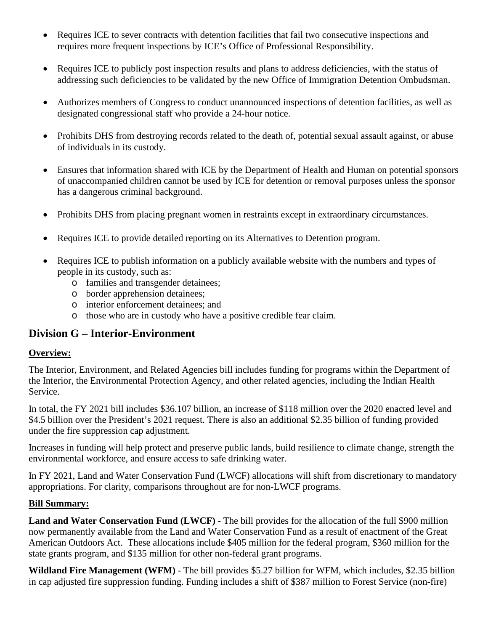- Requires ICE to sever contracts with detention facilities that fail two consecutive inspections and requires more frequent inspections by ICE's Office of Professional Responsibility.
- Requires ICE to publicly post inspection results and plans to address deficiencies, with the status of addressing such deficiencies to be validated by the new Office of Immigration Detention Ombudsman.
- Authorizes members of Congress to conduct unannounced inspections of detention facilities, as well as designated congressional staff who provide a 24-hour notice.
- Prohibits DHS from destroying records related to the death of, potential sexual assault against, or abuse of individuals in its custody.
- Ensures that information shared with ICE by the Department of Health and Human on potential sponsors of unaccompanied children cannot be used by ICE for detention or removal purposes unless the sponsor has a dangerous criminal background.
- Prohibits DHS from placing pregnant women in restraints except in extraordinary circumstances.
- Requires ICE to provide detailed reporting on its Alternatives to Detention program.
- Requires ICE to publish information on a publicly available website with the numbers and types of people in its custody, such as:
	- o families and transgender detainees;
	- o border apprehension detainees;
	- o interior enforcement detainees; and
	- o those who are in custody who have a positive credible fear claim.

## **Division G – Interior-Environment**

#### **Overview:**

The Interior, Environment, and Related Agencies bill includes funding for programs within the Department of the Interior, the Environmental Protection Agency, and other related agencies, including the Indian Health Service.

In total, the FY 2021 bill includes \$36.107 billion, an increase of \$118 million over the 2020 enacted level and \$4.5 billion over the President's 2021 request. There is also an additional \$2.35 billion of funding provided under the fire suppression cap adjustment.

Increases in funding will help protect and preserve public lands, build resilience to climate change, strength the environmental workforce, and ensure access to safe drinking water.

In FY 2021, Land and Water Conservation Fund (LWCF) allocations will shift from discretionary to mandatory appropriations. For clarity, comparisons throughout are for non-LWCF programs.

#### **Bill Summary:**

**Land and Water Conservation Fund (LWCF)** - The bill provides for the allocation of the full \$900 million now permanently available from the Land and Water Conservation Fund as a result of enactment of the Great American Outdoors Act. These allocations include \$405 million for the federal program, \$360 million for the state grants program, and \$135 million for other non-federal grant programs.

**Wildland Fire Management (WFM)** - The bill provides \$5.27 billion for WFM, which includes, \$2.35 billion in cap adjusted fire suppression funding. Funding includes a shift of \$387 million to Forest Service (non-fire)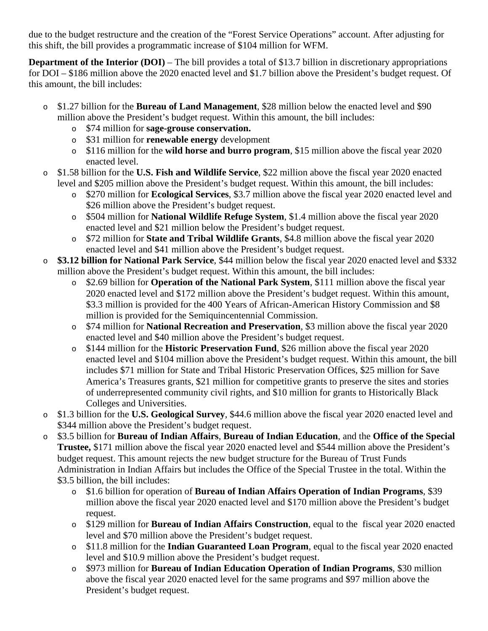due to the budget restructure and the creation of the "Forest Service Operations" account. After adjusting for this shift, the bill provides a programmatic increase of \$104 million for WFM.

**Department of the Interior (DOI)** – The bill provides a total of \$13.7 billion in discretionary appropriations for DOI – \$186 million above the 2020 enacted level and \$1.7 billion above the President's budget request. Of this amount, the bill includes:

- o \$1.27 billion for the **Bureau of Land Management**, \$28 million below the enacted level and \$90 million above the President's budget request. Within this amount, the bill includes:
	- o \$74 million for **sage-grouse conservation.**
	- o \$31 million for **renewable energy** development
	- o \$116 million for the **wild horse and burro program**, \$15 million above the fiscal year 2020 enacted level.
- o \$1.58 billion for the **U.S. Fish and Wildlife Service**, \$22 million above the fiscal year 2020 enacted level and \$205 million above the President's budget request. Within this amount, the bill includes:
	- o \$270 million for **Ecological Services**, \$3.7 million above the fiscal year 2020 enacted level and \$26 million above the President's budget request.
	- o \$504 million for **National Wildlife Refuge System**, \$1.4 million above the fiscal year 2020 enacted level and \$21 million below the President's budget request.
	- o \$72 million for **State and Tribal Wildlife Grants**, \$4.8 million above the fiscal year 2020 enacted level and \$41 million above the President's budget request.
- o **\$3.12 billion for National Park Service**, \$44 million below the fiscal year 2020 enacted level and \$332 million above the President's budget request. Within this amount, the bill includes:
	- o \$2.69 billion for **Operation of the National Park System**, \$111 million above the fiscal year 2020 enacted level and \$172 million above the President's budget request. Within this amount, \$3.3 million is provided for the 400 Years of African-American History Commission and \$8 million is provided for the Semiquincentennial Commission.
	- o \$74 million for **National Recreation and Preservation**, \$3 million above the fiscal year 2020 enacted level and \$40 million above the President's budget request.
	- o \$144 million for the **Historic Preservation Fund**, \$26 million above the fiscal year 2020 enacted level and \$104 million above the President's budget request. Within this amount, the bill includes \$71 million for State and Tribal Historic Preservation Offices, \$25 million for Save America's Treasures grants, \$21 million for competitive grants to preserve the sites and stories of underrepresented community civil rights, and \$10 million for grants to Historically Black Colleges and Universities.
- o \$1.3 billion for the **U.S. Geological Survey**, \$44.6 million above the fiscal year 2020 enacted level and \$344 million above the President's budget request.
- o \$3.5 billion for **Bureau of Indian Affairs**, **Bureau of Indian Education**, and the **Office of the Special Trustee,** \$171 million above the fiscal year 2020 enacted level and \$544 million above the President's budget request. This amount rejects the new budget structure for the Bureau of Trust Funds Administration in Indian Affairs but includes the Office of the Special Trustee in the total. Within the \$3.5 billion, the bill includes:
	- o \$1.6 billion for operation of **Bureau of Indian Affairs Operation of Indian Programs**, \$39 million above the fiscal year 2020 enacted level and \$170 million above the President's budget request.
	- o \$129 million for **Bureau of Indian Affairs Construction**, equal to the fiscal year 2020 enacted level and \$70 million above the President's budget request.
	- o \$11.8 million for the **Indian Guaranteed Loan Program**, equal to the fiscal year 2020 enacted level and \$10.9 million above the President's budget request.
	- o \$973 million for **Bureau of Indian Education Operation of Indian Programs**, \$30 million above the fiscal year 2020 enacted level for the same programs and \$97 million above the President's budget request.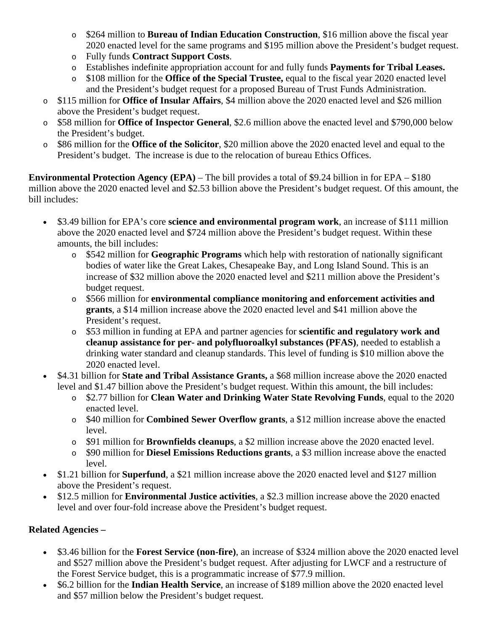- o \$264 million to **Bureau of Indian Education Construction**, \$16 million above the fiscal year 2020 enacted level for the same programs and \$195 million above the President's budget request.
- o Fully funds **Contract Support Costs**.
- o Establishes indefinite appropriation account for and fully funds **Payments for Tribal Leases.**
- o \$108 million for the **Office of the Special Trustee,** equal to the fiscal year 2020 enacted level and the President's budget request for a proposed Bureau of Trust Funds Administration.
- o \$115 million for **Office of Insular Affairs**, \$4 million above the 2020 enacted level and \$26 million above the President's budget request.
- o \$58 million for **Office of Inspector General**, \$2.6 million above the enacted level and \$790,000 below the President's budget.
- o \$86 million for the **Office of the Solicitor**, \$20 million above the 2020 enacted level and equal to the President's budget. The increase is due to the relocation of bureau Ethics Offices.

**Environmental Protection Agency (EPA)** – The bill provides a total of \$9.24 billion in for EPA – \$180 million above the 2020 enacted level and \$2.53 billion above the President's budget request. Of this amount, the bill includes:

- \$3.49 billion for EPA's core **science and environmental program work**, an increase of \$111 million above the 2020 enacted level and \$724 million above the President's budget request. Within these amounts, the bill includes:
	- o \$542 million for **Geographic Programs** which help with restoration of nationally significant bodies of water like the Great Lakes, Chesapeake Bay, and Long Island Sound. This is an increase of \$32 million above the 2020 enacted level and \$211 million above the President's budget request.
	- o \$566 million for **environmental compliance monitoring and enforcement activities and grants**, a \$14 million increase above the 2020 enacted level and \$41 million above the President's request.
	- o \$53 million in funding at EPA and partner agencies for **scientific and regulatory work and cleanup assistance for per- and polyfluoroalkyl substances (PFAS)**, needed to establish a drinking water standard and cleanup standards. This level of funding is \$10 million above the 2020 enacted level.
- \$4.31 billion for **State and Tribal Assistance Grants,** a \$68 million increase above the 2020 enacted level and \$1.47 billion above the President's budget request. Within this amount, the bill includes:
	- o \$2.77 billion for **Clean Water and Drinking Water State Revolving Funds**, equal to the 2020 enacted level.
	- o \$40 million for **Combined Sewer Overflow grants**, a \$12 million increase above the enacted level.
	- o \$91 million for **Brownfields cleanups**, a \$2 million increase above the 2020 enacted level.
	- o \$90 million for **Diesel Emissions Reductions grants**, a \$3 million increase above the enacted level.
- \$1.21 billion for **Superfund**, a \$21 million increase above the 2020 enacted level and \$127 million above the President's request.
- \$12.5 million for **Environmental Justice activities**, a \$2.3 million increase above the 2020 enacted level and over four-fold increase above the President's budget request.

## **Related Agencies –**

- \$3.46 billion for the **Forest Service (non-fire)**, an increase of \$324 million above the 2020 enacted level and \$527 million above the President's budget request. After adjusting for LWCF and a restructure of the Forest Service budget, this is a programmatic increase of \$77.9 million.
- \$6.2 billion for the **Indian Health Service**, an increase of \$189 million above the 2020 enacted level and \$57 million below the President's budget request.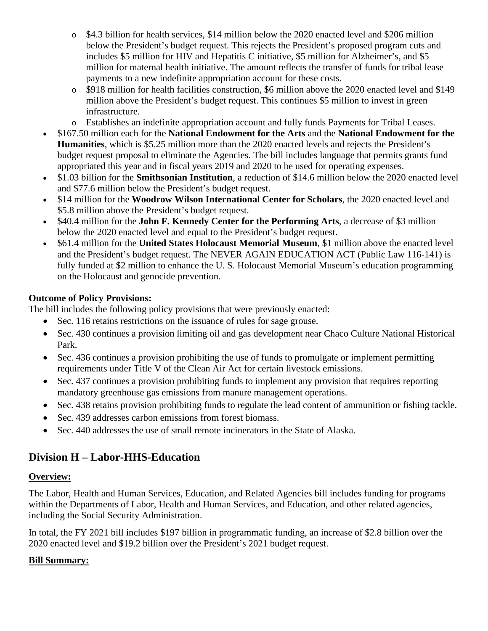- o \$4.3 billion for health services, \$14 million below the 2020 enacted level and \$206 million below the President's budget request. This rejects the President's proposed program cuts and includes \$5 million for HIV and Hepatitis C initiative, \$5 million for Alzheimer's, and \$5 million for maternal health initiative. The amount reflects the transfer of funds for tribal lease payments to a new indefinite appropriation account for these costs.
- o \$918 million for health facilities construction, \$6 million above the 2020 enacted level and \$149 million above the President's budget request. This continues \$5 million to invest in green infrastructure.
- o Establishes an indefinite appropriation account and fully funds Payments for Tribal Leases.
- \$167.50 million each for the **National Endowment for the Arts** and the **National Endowment for the Humanities**, which is \$5.25 million more than the 2020 enacted levels and rejects the President's budget request proposal to eliminate the Agencies. The bill includes language that permits grants fund appropriated this year and in fiscal years 2019 and 2020 to be used for operating expenses.
- \$1.03 billion for the **Smithsonian Institution**, a reduction of \$14.6 million below the 2020 enacted level and \$77.6 million below the President's budget request.
- \$14 million for the **Woodrow Wilson International Center for Scholars**, the 2020 enacted level and \$5.8 million above the President's budget request.
- \$40.4 million for the **John F. Kennedy Center for the Performing Arts**, a decrease of \$3 million below the 2020 enacted level and equal to the President's budget request.
- \$61.4 million for the **United States Holocaust Memorial Museum**, \$1 million above the enacted level and the President's budget request. The NEVER AGAIN EDUCATION ACT (Public Law 116-141) is fully funded at \$2 million to enhance the U. S. Holocaust Memorial Museum's education programming on the Holocaust and genocide prevention.

### **Outcome of Policy Provisions:**

The bill includes the following policy provisions that were previously enacted:

- Sec. 116 retains restrictions on the issuance of rules for sage grouse.
- Sec. 430 continues a provision limiting oil and gas development near Chaco Culture National Historical Park.
- Sec. 436 continues a provision prohibiting the use of funds to promulgate or implement permitting requirements under Title V of the Clean Air Act for certain livestock emissions.
- Sec. 437 continues a provision prohibiting funds to implement any provision that requires reporting mandatory greenhouse gas emissions from manure management operations.
- Sec. 438 retains provision prohibiting funds to regulate the lead content of ammunition or fishing tackle.
- Sec. 439 addresses carbon emissions from forest biomass.
- Sec. 440 addresses the use of small remote incinerators in the State of Alaska.

# **Division H – Labor-HHS-Education**

#### **Overview:**

The Labor, Health and Human Services, Education, and Related Agencies bill includes funding for programs within the Departments of Labor, Health and Human Services, and Education, and other related agencies, including the Social Security Administration.

In total, the FY 2021 bill includes \$197 billion in programmatic funding, an increase of \$2.8 billion over the 2020 enacted level and \$19.2 billion over the President's 2021 budget request.

#### **Bill Summary:**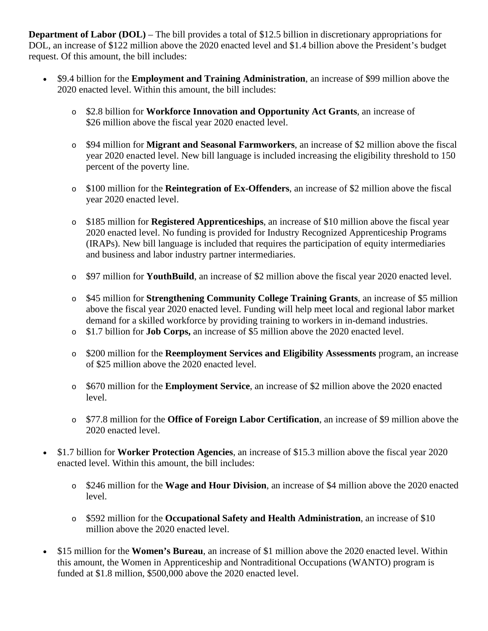**Department of Labor (DOL)** – The bill provides a total of \$12.5 billion in discretionary appropriations for DOL, an increase of \$122 million above the 2020 enacted level and \$1.4 billion above the President's budget request. Of this amount, the bill includes:

- \$9.4 billion for the **Employment and Training Administration**, an increase of \$99 million above the 2020 enacted level. Within this amount, the bill includes:
	- o \$2.8 billion for **Workforce Innovation and Opportunity Act Grants**, an increase of \$26 million above the fiscal year 2020 enacted level.
	- o \$94 million for **Migrant and Seasonal Farmworkers**, an increase of \$2 million above the fiscal year 2020 enacted level. New bill language is included increasing the eligibility threshold to 150 percent of the poverty line.
	- o \$100 million for the **Reintegration of Ex-Offenders**, an increase of \$2 million above the fiscal year 2020 enacted level.
	- o \$185 million for **Registered Apprenticeships**, an increase of \$10 million above the fiscal year 2020 enacted level. No funding is provided for Industry Recognized Apprenticeship Programs (IRAPs). New bill language is included that requires the participation of equity intermediaries and business and labor industry partner intermediaries.
	- o \$97 million for **YouthBuild**, an increase of \$2 million above the fiscal year 2020 enacted level.
	- o \$45 million for **Strengthening Community College Training Grants**, an increase of \$5 million above the fiscal year 2020 enacted level. Funding will help meet local and regional labor market demand for a skilled workforce by providing training to workers in in-demand industries.
	- o \$1.7 billion for **Job Corps,** an increase of \$5 million above the 2020 enacted level.
	- o \$200 million for the **Reemployment Services and Eligibility Assessments** program, an increase of \$25 million above the 2020 enacted level.
	- o \$670 million for the **Employment Service**, an increase of \$2 million above the 2020 enacted level.
	- o \$77.8 million for the **Office of Foreign Labor Certification**, an increase of \$9 million above the 2020 enacted level.
- \$1.7 billion for **Worker Protection Agencies**, an increase of \$15.3 million above the fiscal year 2020 enacted level. Within this amount, the bill includes:
	- o \$246 million for the **Wage and Hour Division**, an increase of \$4 million above the 2020 enacted level.
	- o \$592 million for the **Occupational Safety and Health Administration**, an increase of \$10 million above the 2020 enacted level.
- \$15 million for the **Women's Bureau**, an increase of \$1 million above the 2020 enacted level. Within this amount, the Women in Apprenticeship and Nontraditional Occupations (WANTO) program is funded at \$1.8 million, \$500,000 above the 2020 enacted level.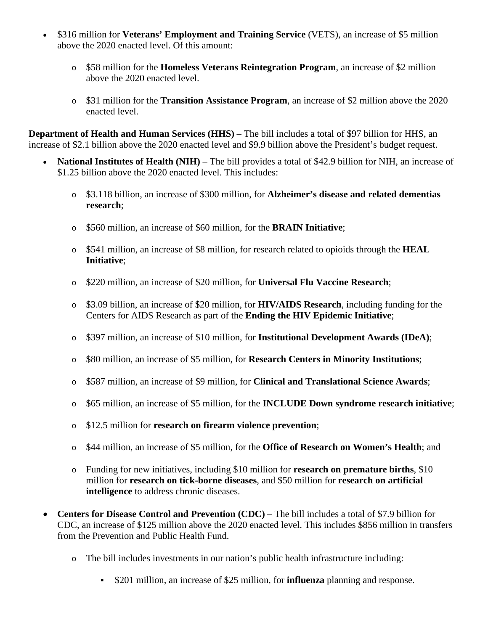- \$316 million for **Veterans' Employment and Training Service** (VETS), an increase of \$5 million above the 2020 enacted level. Of this amount:
	- o \$58 million for the **Homeless Veterans Reintegration Program**, an increase of \$2 million above the 2020 enacted level.
	- o \$31 million for the **Transition Assistance Program**, an increase of \$2 million above the 2020 enacted level.

**Department of Health and Human Services (HHS)** – The bill includes a total of \$97 billion for HHS, an increase of \$2.1 billion above the 2020 enacted level and \$9.9 billion above the President's budget request.

- **National Institutes of Health (NIH)** The bill provides a total of \$42.9 billion for NIH, an increase of \$1.25 billion above the 2020 enacted level. This includes:
	- o \$3.118 billion, an increase of \$300 million, for **Alzheimer's disease and related dementias research**;
	- o \$560 million, an increase of \$60 million, for the **BRAIN Initiative**;
	- o \$541 million, an increase of \$8 million, for research related to opioids through the **HEAL Initiative**;
	- o \$220 million, an increase of \$20 million, for **Universal Flu Vaccine Research**;
	- o \$3.09 billion, an increase of \$20 million, for **HIV/AIDS Research**, including funding for the Centers for AIDS Research as part of the **Ending the HIV Epidemic Initiative**;
	- o \$397 million, an increase of \$10 million, for **Institutional Development Awards (IDeA)**;
	- o \$80 million, an increase of \$5 million, for **Research Centers in Minority Institutions**;
	- o \$587 million, an increase of \$9 million, for **Clinical and Translational Science Awards**;
	- o \$65 million, an increase of \$5 million, for the **INCLUDE Down syndrome research initiative**;
	- o \$12.5 million for **research on firearm violence prevention**;
	- o \$44 million, an increase of \$5 million, for the **Office of Research on Women's Health**; and
	- o Funding for new initiatives, including \$10 million for **research on premature births**, \$10 million for **research on tick-borne diseases**, and \$50 million for **research on artificial intelligence** to address chronic diseases.
- **Centers for Disease Control and Prevention (CDC)** The bill includes a total of \$7.9 billion for CDC, an increase of \$125 million above the 2020 enacted level. This includes \$856 million in transfers from the Prevention and Public Health Fund.
	- o The bill includes investments in our nation's public health infrastructure including:
		- \$201 million, an increase of \$25 million, for **influenza** planning and response.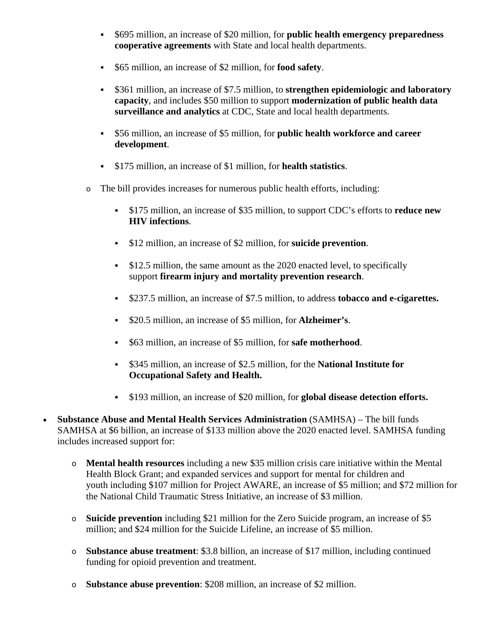- \$695 million, an increase of \$20 million, for **public health emergency preparedness cooperative agreements** with State and local health departments.
- \$65 million, an increase of \$2 million, for **food safety**.
- \$361 million, an increase of \$7.5 million, to **strengthen epidemiologic and laboratory capacity**, and includes \$50 million to support **modernization of public health data surveillance and analytics** at CDC, State and local health departments.
- \$56 million, an increase of \$5 million, for **public health workforce and career development**.
- \$175 million, an increase of \$1 million, for **health statistics**.
- o The bill provides increases for numerous public health efforts, including:
	- \$175 million, an increase of \$35 million, to support CDC's efforts to **reduce new HIV infections**.
	- \$12 million, an increase of \$2 million, for **suicide prevention**.
	- **\$12.5 million, the same amount as the 2020 enacted level, to specifically** support **firearm injury and mortality prevention research**.
	- \$237.5 million, an increase of \$7.5 million, to address **tobacco and e-cigarettes.**
	- \$20.5 million, an increase of \$5 million, for **Alzheimer's**.
	- \$63 million, an increase of \$5 million, for **safe motherhood**.
	- \$345 million, an increase of \$2.5 million, for the **National Institute for Occupational Safety and Health.**
	- \$193 million, an increase of \$20 million, for **global disease detection efforts.**
- **Substance Abuse and Mental Health Services Administration** (SAMHSA) The bill funds SAMHSA at \$6 billion, an increase of \$133 million above the 2020 enacted level. SAMHSA funding includes increased support for:
	- o **Mental health resources** including a new \$35 million crisis care initiative within the Mental Health Block Grant; and expanded services and support for mental for children and youth including \$107 million for Project AWARE, an increase of \$5 million; and \$72 million for the National Child Traumatic Stress Initiative, an increase of \$3 million.
	- o **Suicide prevention** including \$21 million for the Zero Suicide program, an increase of \$5 million; and \$24 million for the Suicide Lifeline, an increase of \$5 million.
	- o **Substance abuse treatment**: \$3.8 billion, an increase of \$17 million, including continued funding for opioid prevention and treatment.
	- o **Substance abuse prevention**: \$208 million, an increase of \$2 million.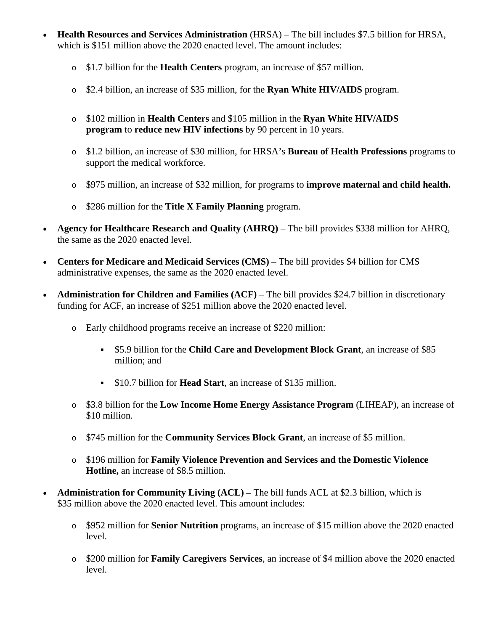- **Health Resources and Services Administration** (HRSA) The bill includes \$7.5 billion for HRSA, which is \$151 million above the 2020 enacted level. The amount includes:
	- o \$1.7 billion for the **Health Centers** program, an increase of \$57 million.
	- o \$2.4 billion, an increase of \$35 million, for the **Ryan White HIV/AIDS** program.
	- o \$102 million in **Health Centers** and \$105 million in the **Ryan White HIV/AIDS program** to **reduce new HIV infections** by 90 percent in 10 years.
	- o \$1.2 billion, an increase of \$30 million, for HRSA's **Bureau of Health Professions** programs to support the medical workforce.
	- o \$975 million, an increase of \$32 million, for programs to **improve maternal and child health.**
	- o \$286 million for the **Title X Family Planning** program.
- **Agency for Healthcare Research and Quality (AHRQ)** The bill provides \$338 million for AHRQ, the same as the 2020 enacted level.
- **Centers for Medicare and Medicaid Services (CMS)** The bill provides \$4 billion for CMS administrative expenses, the same as the 2020 enacted level.
- **Administration for Children and Families (ACF)** The bill provides \$24.7 billion in discretionary funding for ACF, an increase of \$251 million above the 2020 enacted level.
	- o Early childhood programs receive an increase of \$220 million:
		- \$5.9 billion for the **Child Care and Development Block Grant**, an increase of \$85 million; and
		- \$10.7 billion for **Head Start**, an increase of \$135 million.
	- o \$3.8 billion for the **Low Income Home Energy Assistance Program** (LIHEAP), an increase of \$10 million.
	- o \$745 million for the **Community Services Block Grant**, an increase of \$5 million.
	- o \$196 million for **Family Violence Prevention and Services and the Domestic Violence Hotline,** an increase of \$8.5 million.
- **Administration for Community Living (ACL) The bill funds ACL at \$2.3 billion, which is** \$35 million above the 2020 enacted level. This amount includes:
	- o \$952 million for **Senior Nutrition** programs, an increase of \$15 million above the 2020 enacted level.
	- o \$200 million for **Family Caregivers Services**, an increase of \$4 million above the 2020 enacted level.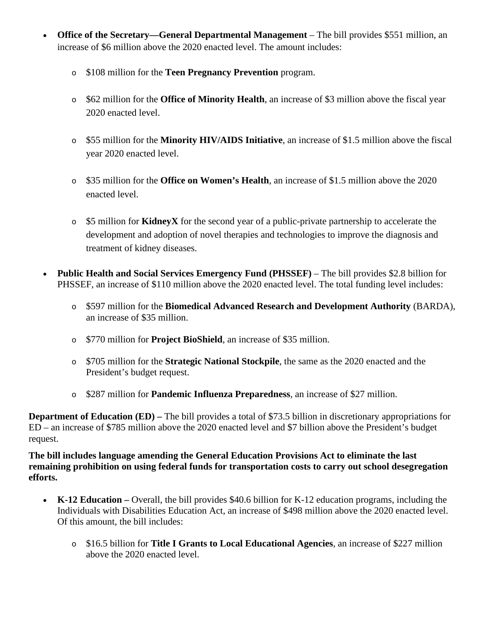- **Office of the Secretary—General Departmental Management** The bill provides \$551 million, an increase of \$6 million above the 2020 enacted level. The amount includes:
	- o \$108 million for the **Teen Pregnancy Prevention** program.
	- o \$62 million for the **Office of Minority Health**, an increase of \$3 million above the fiscal year 2020 enacted level.
	- o \$55 million for the **Minority HIV/AIDS Initiative**, an increase of \$1.5 million above the fiscal year 2020 enacted level.
	- o \$35 million for the **Office on Women's Health**, an increase of \$1.5 million above the 2020 enacted level.
	- o \$5 million for **KidneyX** for the second year of a public-private partnership to accelerate the development and adoption of novel therapies and technologies to improve the diagnosis and treatment of kidney diseases.
- **Public Health and Social Services Emergency Fund (PHSSEF)** The bill provides \$2.8 billion for PHSSEF, an increase of \$110 million above the 2020 enacted level. The total funding level includes:
	- o \$597 million for the **Biomedical Advanced Research and Development Authority** (BARDA), an increase of \$35 million.
	- o \$770 million for **Project BioShield**, an increase of \$35 million.
	- o \$705 million for the **Strategic National Stockpile**, the same as the 2020 enacted and the President's budget request.
	- o \$287 million for **Pandemic Influenza Preparedness**, an increase of \$27 million.

**Department of Education (ED) – The bill provides a total of \$73.5 billion in discretionary appropriations for** ED – an increase of \$785 million above the 2020 enacted level and \$7 billion above the President's budget request.

**The bill includes language amending the General Education Provisions Act to eliminate the last remaining prohibition on using federal funds for transportation costs to carry out school desegregation efforts.**

- **K-12 Education –** Overall, the bill provides \$40.6 billion for K-12 education programs, including the Individuals with Disabilities Education Act, an increase of \$498 million above the 2020 enacted level. Of this amount, the bill includes:
	- o \$16.5 billion for **Title I Grants to Local Educational Agencies**, an increase of \$227 million above the 2020 enacted level.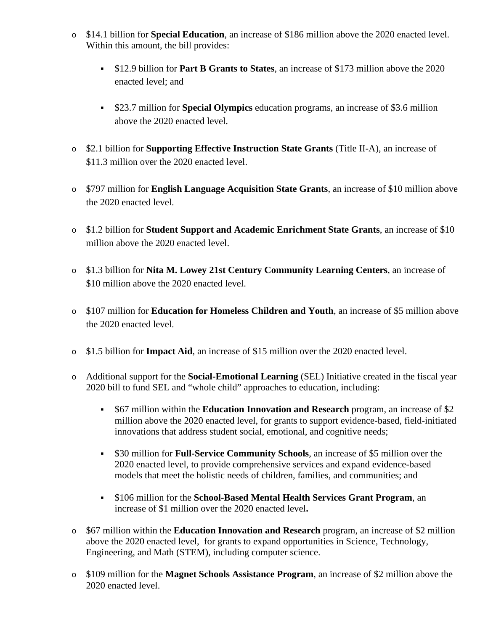- o \$14.1 billion for **Special Education**, an increase of \$186 million above the 2020 enacted level. Within this amount, the bill provides:
	- \$12.9 billion for **Part B Grants to States**, an increase of \$173 million above the 2020 enacted level; and
	- \$23.7 million for **Special Olympics** education programs, an increase of \$3.6 million above the 2020 enacted level.
- o \$2.1 billion for **Supporting Effective Instruction State Grants** (Title II-A), an increase of \$11.3 million over the 2020 enacted level.
- o \$797 million for **English Language Acquisition State Grants**, an increase of \$10 million above the 2020 enacted level.
- o \$1.2 billion for **Student Support and Academic Enrichment State Grants**, an increase of \$10 million above the 2020 enacted level.
- o \$1.3 billion for **Nita M. Lowey 21st Century Community Learning Centers**, an increase of \$10 million above the 2020 enacted level.
- o \$107 million for **Education for Homeless Children and Youth**, an increase of \$5 million above the 2020 enacted level.
- o \$1.5 billion for **Impact Aid**, an increase of \$15 million over the 2020 enacted level.
- o Additional support for the **Social-Emotional Learning** (SEL) Initiative created in the fiscal year 2020 bill to fund SEL and "whole child" approaches to education, including:
	- \$67 million within the **Education Innovation and Research** program, an increase of \$2 million above the 2020 enacted level, for grants to support evidence-based, field-initiated innovations that address student social, emotional, and cognitive needs;
	- \$30 million for **Full-Service Community Schools**, an increase of \$5 million over the 2020 enacted level, to provide comprehensive services and expand evidence-based models that meet the holistic needs of children, families, and communities; and
	- \$106 million for the **School-Based Mental Health Services Grant Program**, an increase of \$1 million over the 2020 enacted level**.**
- o \$67 million within the **Education Innovation and Research** program, an increase of \$2 million above the 2020 enacted level, for grants to expand opportunities in Science, Technology, Engineering, and Math (STEM), including computer science.
- o \$109 million for the **Magnet Schools Assistance Program**, an increase of \$2 million above the 2020 enacted level.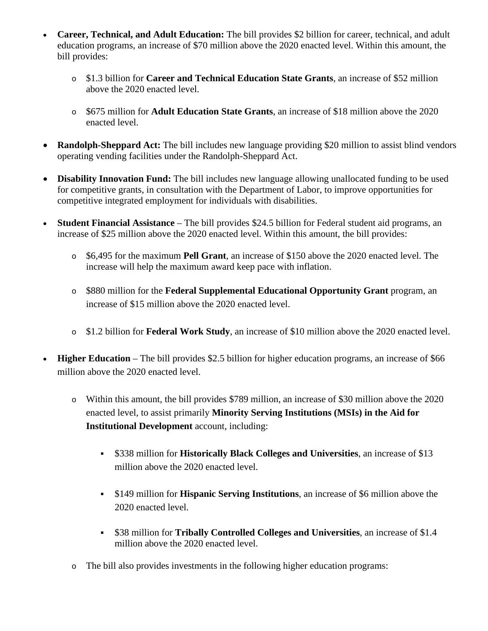- **Career, Technical, and Adult Education:** The bill provides \$2 billion for career, technical, and adult education programs, an increase of \$70 million above the 2020 enacted level. Within this amount, the bill provides:
	- o \$1.3 billion for **Career and Technical Education State Grants**, an increase of \$52 million above the 2020 enacted level.
	- o \$675 million for **Adult Education State Grants**, an increase of \$18 million above the 2020 enacted level.
- **Randolph-Sheppard Act:** The bill includes new language providing \$20 million to assist blind vendors operating vending facilities under the Randolph-Sheppard Act.
- **Disability Innovation Fund:** The bill includes new language allowing unallocated funding to be used for competitive grants, in consultation with the Department of Labor, to improve opportunities for competitive integrated employment for individuals with disabilities.
- **Student Financial Assistance** The bill provides \$24.5 billion for Federal student aid programs, an increase of \$25 million above the 2020 enacted level. Within this amount, the bill provides:
	- o \$6,495 for the maximum **Pell Grant**, an increase of \$150 above the 2020 enacted level. The increase will help the maximum award keep pace with inflation.
	- o \$880 million for the **Federal Supplemental Educational Opportunity Grant** program, an increase of \$15 million above the 2020 enacted level.
	- o \$1.2 billion for **Federal Work Study**, an increase of \$10 million above the 2020 enacted level.
- **Higher Education** The bill provides \$2.5 billion for higher education programs, an increase of \$66 million above the 2020 enacted level.
	- o Within this amount, the bill provides \$789 million, an increase of \$30 million above the 2020 enacted level, to assist primarily **Minority Serving Institutions (MSIs) in the Aid for Institutional Development** account, including:
		- \$338 million for **Historically Black Colleges and Universities**, an increase of \$13 million above the 2020 enacted level.
		- \$149 million for **Hispanic Serving Institutions**, an increase of \$6 million above the 2020 enacted level.
		- \$38 million for **Tribally Controlled Colleges and Universities**, an increase of \$1.4 million above the 2020 enacted level.
	- o The bill also provides investments in the following higher education programs: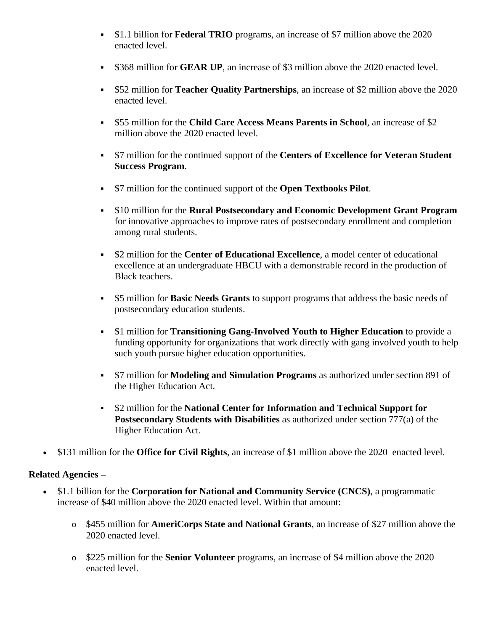- \$1.1 billion for **Federal TRIO** programs, an increase of \$7 million above the 2020 enacted level.
- \$368 million for **GEAR UP**, an increase of \$3 million above the 2020 enacted level.
- \$52 million for **Teacher Quality Partnerships**, an increase of \$2 million above the 2020 enacted level.
- \$55 million for the **Child Care Access Means Parents in School**, an increase of \$2 million above the 2020 enacted level.
- \$7 million for the continued support of the **Centers of Excellence for Veteran Student Success Program**.
- \$7 million for the continued support of the **Open Textbooks Pilot**.
- \$10 million for the **Rural Postsecondary and Economic Development Grant Program** for innovative approaches to improve rates of postsecondary enrollment and completion among rural students.
- \$2 million for the **Center of Educational Excellence**, a model center of educational excellence at an undergraduate HBCU with a demonstrable record in the production of Black teachers.
- \$5 million for **Basic Needs Grants** to support programs that address the basic needs of postsecondary education students.
- \$1 million for **Transitioning Gang-Involved Youth to Higher Education** to provide a funding opportunity for organizations that work directly with gang involved youth to help such youth pursue higher education opportunities.
- \$7 million for **Modeling and Simulation Programs** as authorized under section 891 of the Higher Education Act.
- \$2 million for the **National Center for Information and Technical Support for Postsecondary Students with Disabilities** as authorized under section 777(a) of the Higher Education Act.
- \$131 million for the **Office for Civil Rights**, an increase of \$1 million above the 2020 enacted level.

#### **Related Agencies –**

- \$1.1 billion for the **Corporation for National and Community Service (CNCS)**, a programmatic increase of \$40 million above the 2020 enacted level. Within that amount:
	- o \$455 million for **AmeriCorps State and National Grants**, an increase of \$27 million above the 2020 enacted level.
	- o \$225 million for the **Senior Volunteer** programs, an increase of \$4 million above the 2020 enacted level.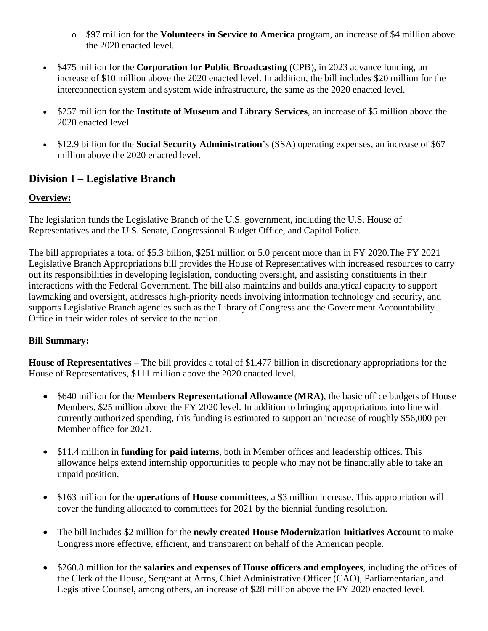- o \$97 million for the **Volunteers in Service to America** program, an increase of \$4 million above the 2020 enacted level.
- \$475 million for the **Corporation for Public Broadcasting** (CPB), in 2023 advance funding, an increase of \$10 million above the 2020 enacted level. In addition, the bill includes \$20 million for the interconnection system and system wide infrastructure, the same as the 2020 enacted level.
- \$257 million for the **Institute of Museum and Library Services**, an increase of \$5 million above the 2020 enacted level.
- \$12.9 billion for the **Social Security Administration**'s (SSA) operating expenses, an increase of \$67 million above the 2020 enacted level.

# **Division I – Legislative Branch**

#### **Overview:**

The legislation funds the Legislative Branch of the U.S. government, including the U.S. House of Representatives and the U.S. Senate, Congressional Budget Office, and Capitol Police.

The bill appropriates a total of \$5.3 billion, \$251 million or 5.0 percent more than in FY 2020.The FY 2021 Legislative Branch Appropriations bill provides the House of Representatives with increased resources to carry out its responsibilities in developing legislation, conducting oversight, and assisting constituents in their interactions with the Federal Government. The bill also maintains and builds analytical capacity to support lawmaking and oversight, addresses high-priority needs involving information technology and security, and supports Legislative Branch agencies such as the Library of Congress and the Government Accountability Office in their wider roles of service to the nation.

#### **Bill Summary:**

**House of Representatives** – The bill provides a total of \$1.477 billion in discretionary appropriations for the House of Representatives, \$111 million above the 2020 enacted level.

- \$640 million for the **Members Representational Allowance (MRA)**, the basic office budgets of House Members, \$25 million above the FY 2020 level. In addition to bringing appropriations into line with currently authorized spending, this funding is estimated to support an increase of roughly \$56,000 per Member office for 2021.
- \$11.4 million in **funding for paid interns**, both in Member offices and leadership offices. This allowance helps extend internship opportunities to people who may not be financially able to take an unpaid position.
- \$163 million for the **operations of House committees**, a \$3 million increase. This appropriation will cover the funding allocated to committees for 2021 by the biennial funding resolution.
- The bill includes \$2 million for the **newly created House Modernization Initiatives Account** to make Congress more effective, efficient, and transparent on behalf of the American people.
- \$260.8 million for the **salaries and expenses of House officers and employees**, including the offices of the Clerk of the House, Sergeant at Arms, Chief Administrative Officer (CAO), Parliamentarian, and Legislative Counsel, among others, an increase of \$28 million above the FY 2020 enacted level.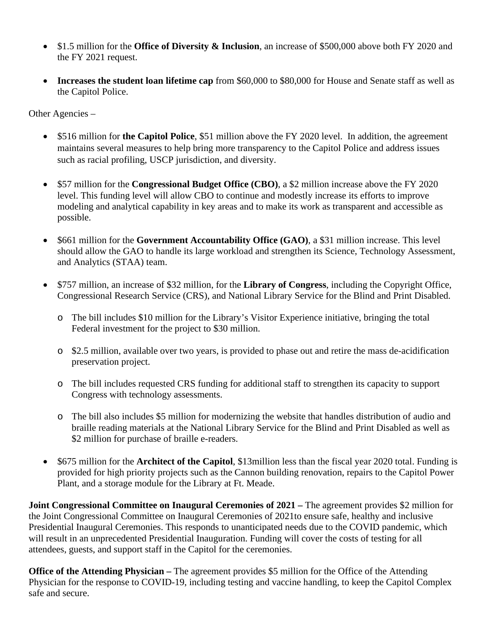- \$1.5 million for the **Office of Diversity & Inclusion**, an increase of \$500,000 above both FY 2020 and the FY 2021 request.
- **Increases the student loan lifetime cap** from \$60,000 to \$80,000 for House and Senate staff as well as the Capitol Police.

Other Agencies –

- \$516 million for **the Capitol Police**, \$51 million above the FY 2020 level. In addition, the agreement maintains several measures to help bring more transparency to the Capitol Police and address issues such as racial profiling, USCP jurisdiction, and diversity.
- \$57 million for the **Congressional Budget Office (CBO)**, a \$2 million increase above the FY 2020 level. This funding level will allow CBO to continue and modestly increase its efforts to improve modeling and analytical capability in key areas and to make its work as transparent and accessible as possible.
- \$661 million for the **Government Accountability Office (GAO)**, a \$31 million increase. This level should allow the GAO to handle its large workload and strengthen its Science, Technology Assessment, and Analytics (STAA) team.
- \$757 million, an increase of \$32 million, for the **Library of Congress**, including the Copyright Office, Congressional Research Service (CRS), and National Library Service for the Blind and Print Disabled.
	- o The bill includes \$10 million for the Library's Visitor Experience initiative, bringing the total Federal investment for the project to \$30 million.
	- o \$2.5 million, available over two years, is provided to phase out and retire the mass de-acidification preservation project.
	- o The bill includes requested CRS funding for additional staff to strengthen its capacity to support Congress with technology assessments.
	- o The bill also includes \$5 million for modernizing the website that handles distribution of audio and braille reading materials at the National Library Service for the Blind and Print Disabled as well as \$2 million for purchase of braille e-readers.
- \$675 million for the **Architect of the Capitol**, \$13 million less than the fiscal year 2020 total. Funding is provided for high priority projects such as the Cannon building renovation, repairs to the Capitol Power Plant, and a storage module for the Library at Ft. Meade.

**Joint Congressional Committee on Inaugural Ceremonies of 2021 –** The agreement provides \$2 million for the Joint Congressional Committee on Inaugural Ceremonies of 2021to ensure safe, healthy and inclusive Presidential Inaugural Ceremonies. This responds to unanticipated needs due to the COVID pandemic, which will result in an unprecedented Presidential Inauguration. Funding will cover the costs of testing for all attendees, guests, and support staff in the Capitol for the ceremonies.

**Office of the Attending Physician –** The agreement provides \$5 million for the Office of the Attending Physician for the response to COVID-19, including testing and vaccine handling, to keep the Capitol Complex safe and secure.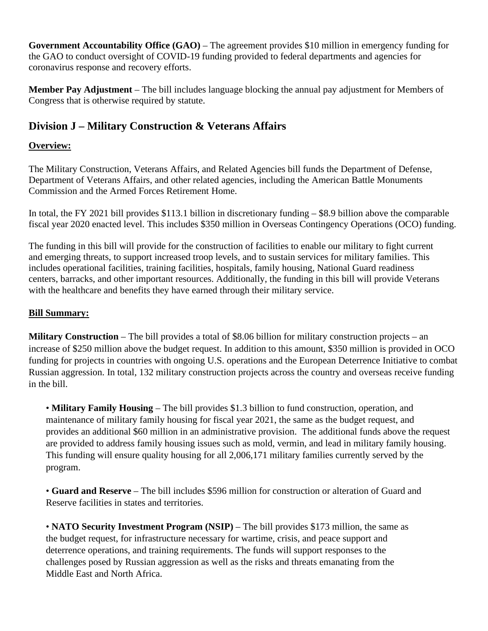**Government Accountability Office (GAO)** – The agreement provides \$10 million in emergency funding for the GAO to conduct oversight of COVID-19 funding provided to federal departments and agencies for coronavirus response and recovery efforts.

**Member Pay Adjustment** – The bill includes language blocking the annual pay adjustment for Members of Congress that is otherwise required by statute.

# **Division J – Military Construction & Veterans Affairs**

### **Overview:**

The Military Construction, Veterans Affairs, and Related Agencies bill funds the Department of Defense, Department of Veterans Affairs, and other related agencies, including the American Battle Monuments Commission and the Armed Forces Retirement Home.

In total, the FY 2021 bill provides \$113.1 billion in discretionary funding – \$8.9 billion above the comparable fiscal year 2020 enacted level. This includes \$350 million in Overseas Contingency Operations (OCO) funding.

The funding in this bill will provide for the construction of facilities to enable our military to fight current and emerging threats, to support increased troop levels, and to sustain services for military families. This includes operational facilities, training facilities, hospitals, family housing, National Guard readiness centers, barracks, and other important resources. Additionally, the funding in this bill will provide Veterans with the healthcare and benefits they have earned through their military service.

#### **Bill Summary:**

**Military Construction** – The bill provides a total of \$8.06 billion for military construction projects – an increase of \$250 million above the budget request. In addition to this amount, \$350 million is provided in OCO funding for projects in countries with ongoing U.S. operations and the European Deterrence Initiative to combat Russian aggression. In total, 132 military construction projects across the country and overseas receive funding in the bill.

• **Military Family Housing** – The bill provides \$1.3 billion to fund construction, operation, and maintenance of military family housing for fiscal year 2021, the same as the budget request, and provides an additional \$60 million in an administrative provision. The additional funds above the request are provided to address family housing issues such as mold, vermin, and lead in military family housing. This funding will ensure quality housing for all 2,006,171 military families currently served by the program.

• **Guard and Reserve** – The bill includes \$596 million for construction or alteration of Guard and Reserve facilities in states and territories.

• **NATO Security Investment Program (NSIP)** – The bill provides \$173 million, the same as the budget request, for infrastructure necessary for wartime, crisis, and peace support and deterrence operations, and training requirements. The funds will support responses to the challenges posed by Russian aggression as well as the risks and threats emanating from the Middle East and North Africa.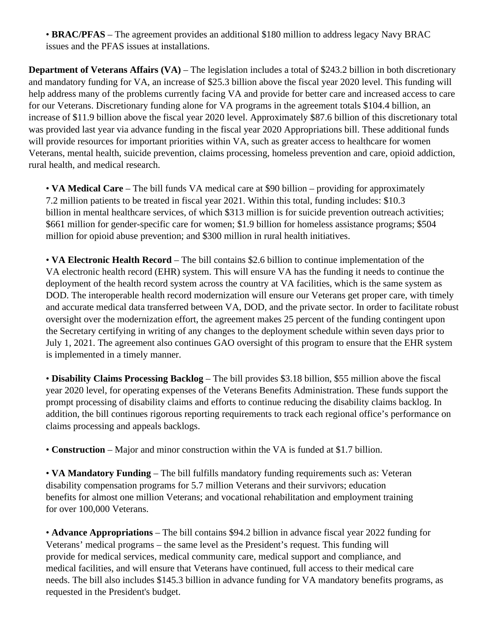• **BRAC/PFAS** – The agreement provides an additional \$180 million to address legacy Navy BRAC issues and the PFAS issues at installations.

**Department of Veterans Affairs (VA)** – The legislation includes a total of \$243.2 billion in both discretionary and mandatory funding for VA, an increase of \$25.3 billion above the fiscal year 2020 level. This funding will help address many of the problems currently facing VA and provide for better care and increased access to care for our Veterans. Discretionary funding alone for VA programs in the agreement totals \$104.4 billion, an increase of \$11.9 billion above the fiscal year 2020 level. Approximately \$87.6 billion of this discretionary total was provided last year via advance funding in the fiscal year 2020 Appropriations bill. These additional funds will provide resources for important priorities within VA, such as greater access to healthcare for women Veterans, mental health, suicide prevention, claims processing, homeless prevention and care, opioid addiction, rural health, and medical research.

• **VA Medical Care** – The bill funds VA medical care at \$90 billion – providing for approximately 7.2 million patients to be treated in fiscal year 2021. Within this total, funding includes: \$10.3 billion in mental healthcare services, of which \$313 million is for suicide prevention outreach activities; \$661 million for gender-specific care for women; \$1.9 billion for homeless assistance programs; \$504 million for opioid abuse prevention; and \$300 million in rural health initiatives.

• **VA Electronic Health Record** – The bill contains \$2.6 billion to continue implementation of the VA electronic health record (EHR) system. This will ensure VA has the funding it needs to continue the deployment of the health record system across the country at VA facilities, which is the same system as DOD. The interoperable health record modernization will ensure our Veterans get proper care, with timely and accurate medical data transferred between VA, DOD, and the private sector. In order to facilitate robust oversight over the modernization effort, the agreement makes 25 percent of the funding contingent upon the Secretary certifying in writing of any changes to the deployment schedule within seven days prior to July 1, 2021. The agreement also continues GAO oversight of this program to ensure that the EHR system is implemented in a timely manner.

• **Disability Claims Processing Backlog** – The bill provides \$3.18 billion, \$55 million above the fiscal year 2020 level, for operating expenses of the Veterans Benefits Administration. These funds support the prompt processing of disability claims and efforts to continue reducing the disability claims backlog. In addition, the bill continues rigorous reporting requirements to track each regional office's performance on claims processing and appeals backlogs.

• **Construction** – Major and minor construction within the VA is funded at \$1.7 billion.

• **VA Mandatory Funding** – The bill fulfills mandatory funding requirements such as: Veteran disability compensation programs for 5.7 million Veterans and their survivors; education benefits for almost one million Veterans; and vocational rehabilitation and employment training for over 100,000 Veterans.

• **Advance Appropriations** – The bill contains \$94.2 billion in advance fiscal year 2022 funding for Veterans' medical programs – the same level as the President's request. This funding will provide for medical services, medical community care, medical support and compliance, and medical facilities, and will ensure that Veterans have continued, full access to their medical care needs. The bill also includes \$145.3 billion in advance funding for VA mandatory benefits programs, as requested in the President's budget.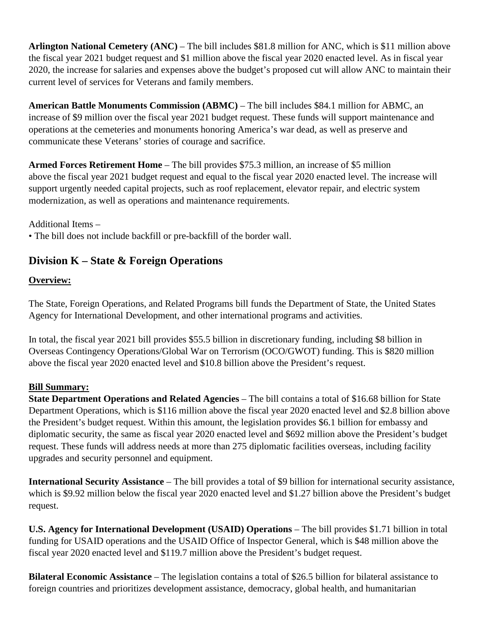**Arlington National Cemetery (ANC)** – The bill includes \$81.8 million for ANC, which is \$11 million above the fiscal year 2021 budget request and \$1 million above the fiscal year 2020 enacted level. As in fiscal year 2020, the increase for salaries and expenses above the budget's proposed cut will allow ANC to maintain their current level of services for Veterans and family members.

**American Battle Monuments Commission (ABMC)** – The bill includes \$84.1 million for ABMC, an increase of \$9 million over the fiscal year 2021 budget request. These funds will support maintenance and operations at the cemeteries and monuments honoring America's war dead, as well as preserve and communicate these Veterans' stories of courage and sacrifice.

**Armed Forces Retirement Home** – The bill provides \$75.3 million, an increase of \$5 million above the fiscal year 2021 budget request and equal to the fiscal year 2020 enacted level. The increase will support urgently needed capital projects, such as roof replacement, elevator repair, and electric system modernization, as well as operations and maintenance requirements.

Additional Items –

• The bill does not include backfill or pre-backfill of the border wall.

## **Division K – State & Foreign Operations**

### **Overview:**

The State, Foreign Operations, and Related Programs bill funds the Department of State, the United States Agency for International Development, and other international programs and activities.

In total, the fiscal year 2021 bill provides \$55.5 billion in discretionary funding, including \$8 billion in Overseas Contingency Operations/Global War on Terrorism (OCO/GWOT) funding. This is \$820 million above the fiscal year 2020 enacted level and \$10.8 billion above the President's request.

#### **Bill Summary:**

**State Department Operations and Related Agencies** – The bill contains a total of \$16.68 billion for State Department Operations, which is \$116 million above the fiscal year 2020 enacted level and \$2.8 billion above the President's budget request. Within this amount, the legislation provides \$6.1 billion for embassy and diplomatic security, the same as fiscal year 2020 enacted level and \$692 million above the President's budget request. These funds will address needs at more than 275 diplomatic facilities overseas, including facility upgrades and security personnel and equipment.

**International Security Assistance** – The bill provides a total of \$9 billion for international security assistance, which is \$9.92 million below the fiscal year 2020 enacted level and \$1.27 billion above the President's budget request.

**U.S. Agency for International Development (USAID) Operations** – The bill provides \$1.71 billion in total funding for USAID operations and the USAID Office of Inspector General, which is \$48 million above the fiscal year 2020 enacted level and \$119.7 million above the President's budget request.

**Bilateral Economic Assistance** – The legislation contains a total of \$26.5 billion for bilateral assistance to foreign countries and prioritizes development assistance, democracy, global health, and humanitarian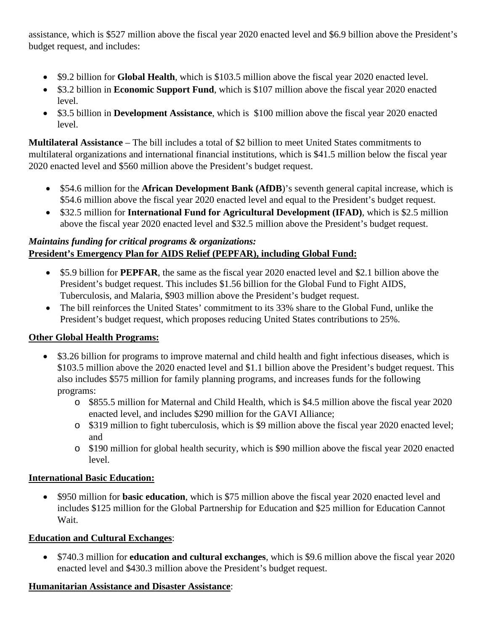assistance, which is \$527 million above the fiscal year 2020 enacted level and \$6.9 billion above the President's budget request, and includes:

- \$9.2 billion for **Global Health**, which is \$103.5 million above the fiscal year 2020 enacted level.
- \$3.2 billion in **Economic Support Fund**, which is \$107 million above the fiscal year 2020 enacted level.
- \$3.5 billion in **Development Assistance**, which is \$100 million above the fiscal year 2020 enacted level.

**Multilateral Assistance** – The bill includes a total of \$2 billion to meet United States commitments to multilateral organizations and international financial institutions, which is \$41.5 million below the fiscal year 2020 enacted level and \$560 million above the President's budget request.

- \$54.6 million for the **African Development Bank (AfDB**)'s seventh general capital increase, which is \$54.6 million above the fiscal year 2020 enacted level and equal to the President's budget request.
- \$32.5 million for **International Fund for Agricultural Development (IFAD)**, which is \$2.5 million above the fiscal year 2020 enacted level and \$32.5 million above the President's budget request.

## *Maintains funding for critical programs & organizations:* **President's Emergency Plan for AIDS Relief (PEPFAR), including Global Fund:**

- \$5.9 billion for **PEPFAR**, the same as the fiscal year 2020 enacted level and \$2.1 billion above the President's budget request. This includes \$1.56 billion for the Global Fund to Fight AIDS, Tuberculosis, and Malaria, \$903 million above the President's budget request.
- The bill reinforces the United States' commitment to its 33% share to the Global Fund, unlike the President's budget request, which proposes reducing United States contributions to 25%.

## **Other Global Health Programs:**

- \$3.26 billion for programs to improve maternal and child health and fight infectious diseases, which is \$103.5 million above the 2020 enacted level and \$1.1 billion above the President's budget request. This also includes \$575 million for family planning programs, and increases funds for the following programs:
	- o \$855.5 million for Maternal and Child Health, which is \$4.5 million above the fiscal year 2020 enacted level, and includes \$290 million for the GAVI Alliance;
	- o \$319 million to fight tuberculosis, which is \$9 million above the fiscal year 2020 enacted level; and
	- o \$190 million for global health security, which is \$90 million above the fiscal year 2020 enacted level.

## **International Basic Education:**

• \$950 million for **basic education**, which is \$75 million above the fiscal year 2020 enacted level and includes \$125 million for the Global Partnership for Education and \$25 million for Education Cannot Wait.

## **Education and Cultural Exchanges**:

• \$740.3 million for **education and cultural exchanges**, which is \$9.6 million above the fiscal year 2020 enacted level and \$430.3 million above the President's budget request.

## **Humanitarian Assistance and Disaster Assistance**: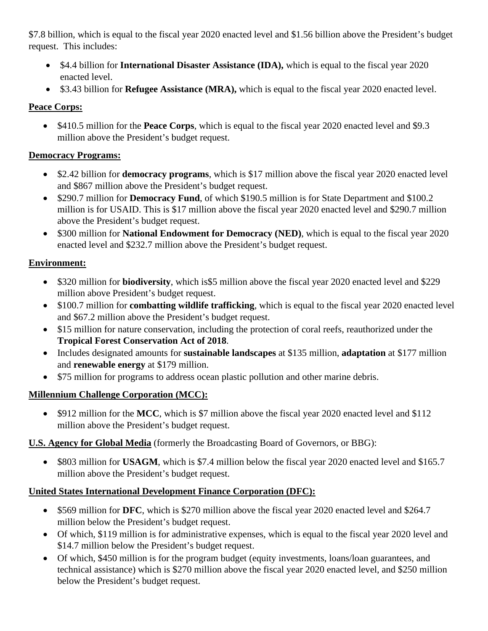\$7.8 billion, which is equal to the fiscal year 2020 enacted level and \$1.56 billion above the President's budget request. This includes:

- \$4.4 billion for **International Disaster Assistance (IDA),** which is equal to the fiscal year 2020 enacted level.
- \$3.43 billion for **Refugee Assistance (MRA)**, which is equal to the fiscal year 2020 enacted level.

## **Peace Corps:**

• \$410.5 million for the **Peace Corps**, which is equal to the fiscal year 2020 enacted level and \$9.3 million above the President's budget request.

## **Democracy Programs:**

- \$2.42 billion for **democracy programs**, which is \$17 million above the fiscal year 2020 enacted level and \$867 million above the President's budget request.
- \$290.7 million for **Democracy Fund**, of which \$190.5 million is for State Department and \$100.2 million is for USAID. This is \$17 million above the fiscal year 2020 enacted level and \$290.7 million above the President's budget request.
- \$300 million for **National Endowment for Democracy (NED)**, which is equal to the fiscal year 2020 enacted level and \$232.7 million above the President's budget request.

# **Environment:**

- \$320 million for **biodiversity**, which is\$5 million above the fiscal year 2020 enacted level and \$229 million above President's budget request.
- \$100.7 million for **combatting wildlife trafficking**, which is equal to the fiscal year 2020 enacted level and \$67.2 million above the President's budget request.
- \$15 million for nature conservation, including the protection of coral reefs, reauthorized under the **Tropical Forest Conservation Act of 2018**.
- Includes designated amounts for **sustainable landscapes** at \$135 million, **adaptation** at \$177 million and **renewable energy** at \$179 million.
- \$75 million for programs to address ocean plastic pollution and other marine debris.

# **Millennium Challenge Corporation (MCC):**

• \$912 million for the MCC, which is \$7 million above the fiscal year 2020 enacted level and \$112 million above the President's budget request.

# **U.S. Agency for Global Media** (formerly the Broadcasting Board of Governors, or BBG):

• \$803 million for **USAGM**, which is \$7.4 million below the fiscal year 2020 enacted level and \$165.7 million above the President's budget request.

# **United States International Development Finance Corporation (DFC):**

- \$569 million for **DFC**, which is \$270 million above the fiscal year 2020 enacted level and \$264.7 million below the President's budget request.
- Of which, \$119 million is for administrative expenses, which is equal to the fiscal year 2020 level and \$14.7 million below the President's budget request.
- Of which, \$450 million is for the program budget (equity investments, loans/loan guarantees, and technical assistance) which is \$270 million above the fiscal year 2020 enacted level, and \$250 million below the President's budget request.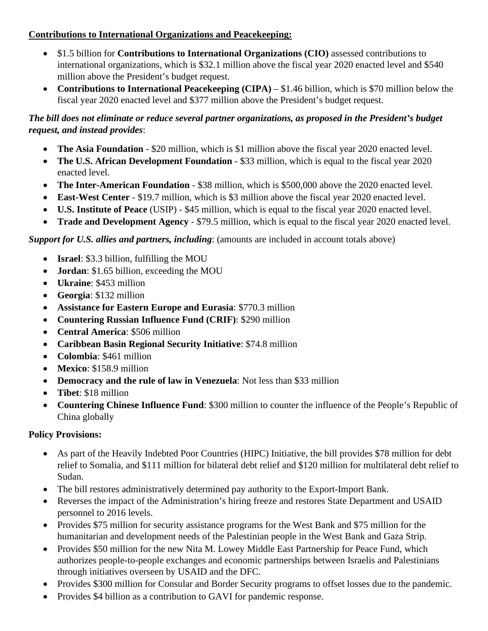### **Contributions to International Organizations and Peacekeeping:**

- \$1.5 billion for **Contributions to International Organizations (CIO)** assessed contributions to international organizations, which is \$32.1 million above the fiscal year 2020 enacted level and \$540 million above the President's budget request.
- **Contributions to International Peacekeeping (CIPA)** \$1.46 billion, which is \$70 million below the fiscal year 2020 enacted level and \$377 million above the President's budget request.

## *The bill does not eliminate or reduce several partner organizations, as proposed in the President's budget request, and instead provides*:

- **The Asia Foundation** \$20 million, which is \$1 million above the fiscal year 2020 enacted level.
- **The U.S. African Development Foundation** \$33 million, which is equal to the fiscal year 2020 enacted level.
- **The Inter-American Foundation** \$38 million, which is \$500,000 above the 2020 enacted level.
- **East-West Center** \$19.7 million, which is \$3 million above the fiscal year 2020 enacted level.
- **U.S. Institute of Peace** (USIP) \$45 million, which is equal to the fiscal year 2020 enacted level.
- **Trade and Development Agency** \$79.5 million, which is equal to the fiscal year 2020 enacted level.

*Support for U.S. allies and partners, including: (amounts are included in account totals above)* 

- **Israel**: \$3.3 billion, fulfilling the MOU
- **Jordan**: \$1.65 billion, exceeding the MOU
- **Ukraine**: \$453 million
- **Georgia**: \$132 million
- **Assistance for Eastern Europe and Eurasia**: \$770.3 million
- **Countering Russian Influence Fund (CRIF)**: \$290 million
- **Central America**: \$506 million
- **Caribbean Basin Regional Security Initiative**: \$74.8 million
- **Colombia**: \$461 million
- **Mexico**: \$158.9 million
- **Democracy and the rule of law in Venezuela**: Not less than \$33 million
- **Tibet**: \$18 million
- **Countering Chinese Influence Fund**: \$300 million to counter the influence of the People's Republic of China globally

### **Policy Provisions:**

- As part of the Heavily Indebted Poor Countries (HIPC) Initiative, the bill provides \$78 million for debt relief to Somalia, and \$111 million for bilateral debt relief and \$120 million for multilateral debt relief to Sudan.
- The bill restores administratively determined pay authority to the Export-Import Bank.
- Reverses the impact of the Administration's hiring freeze and restores State Department and USAID personnel to 2016 levels.
- Provides \$75 million for security assistance programs for the West Bank and \$75 million for the humanitarian and development needs of the Palestinian people in the West Bank and Gaza Strip.
- Provides \$50 million for the new Nita M. Lowey Middle East Partnership for Peace Fund, which authorizes people-to-people exchanges and economic partnerships between Israelis and Palestinians through initiatives overseen by USAID and the DFC.
- Provides \$300 million for Consular and Border Security programs to offset losses due to the pandemic.
- Provides \$4 billion as a contribution to GAVI for pandemic response.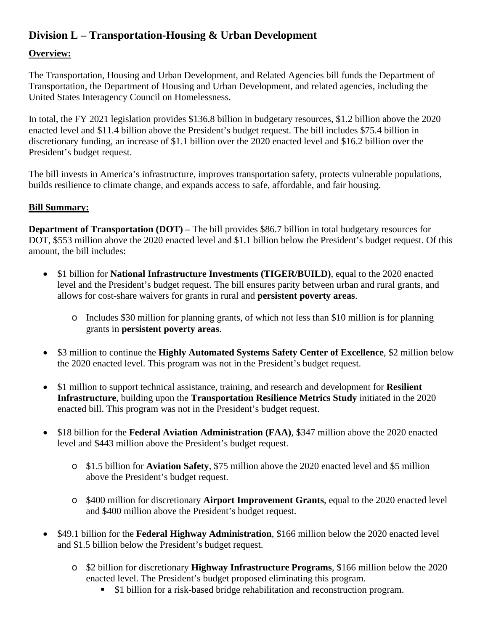# **Division L – Transportation-Housing & Urban Development**

### **Overview:**

The Transportation, Housing and Urban Development, and Related Agencies bill funds the Department of Transportation, the Department of Housing and Urban Development, and related agencies, including the United States Interagency Council on Homelessness.

In total, the FY 2021 legislation provides \$136.8 billion in budgetary resources, \$1.2 billion above the 2020 enacted level and \$11.4 billion above the President's budget request. The bill includes \$75.4 billion in discretionary funding, an increase of \$1.1 billion over the 2020 enacted level and \$16.2 billion over the President's budget request.

The bill invests in America's infrastructure, improves transportation safety, protects vulnerable populations, builds resilience to climate change, and expands access to safe, affordable, and fair housing.

#### **Bill Summary:**

**Department of Transportation (DOT)** – The bill provides \$86.7 billion in total budgetary resources for DOT, \$553 million above the 2020 enacted level and \$1.1 billion below the President's budget request. Of this amount, the bill includes:

- \$1 billion for **National Infrastructure Investments (TIGER/BUILD)**, equal to the 2020 enacted level and the President's budget request. The bill ensures parity between urban and rural grants, and allows for cost-share waivers for grants in rural and **persistent poverty areas**.
	- o Includes \$30 million for planning grants, of which not less than \$10 million is for planning grants in **persistent poverty areas**.
- \$3 million to continue the **Highly Automated Systems Safety Center of Excellence**, \$2 million below the 2020 enacted level. This program was not in the President's budget request.
- \$1 million to support technical assistance, training, and research and development for **Resilient Infrastructure**, building upon the **Transportation Resilience Metrics Study** initiated in the 2020 enacted bill. This program was not in the President's budget request.
- \$18 billion for the **Federal Aviation Administration (FAA)**, \$347 million above the 2020 enacted level and \$443 million above the President's budget request.
	- o \$1.5 billion for **Aviation Safety**, \$75 million above the 2020 enacted level and \$5 million above the President's budget request.
	- o \$400 million for discretionary **Airport Improvement Grants**, equal to the 2020 enacted level and \$400 million above the President's budget request.
- \$49.1 billion for the **Federal Highway Administration**, \$166 million below the 2020 enacted level and \$1.5 billion below the President's budget request.
	- o \$2 billion for discretionary **Highway Infrastructure Programs**, \$166 million below the 2020 enacted level. The President's budget proposed eliminating this program.
		- \$1 billion for a risk-based bridge rehabilitation and reconstruction program.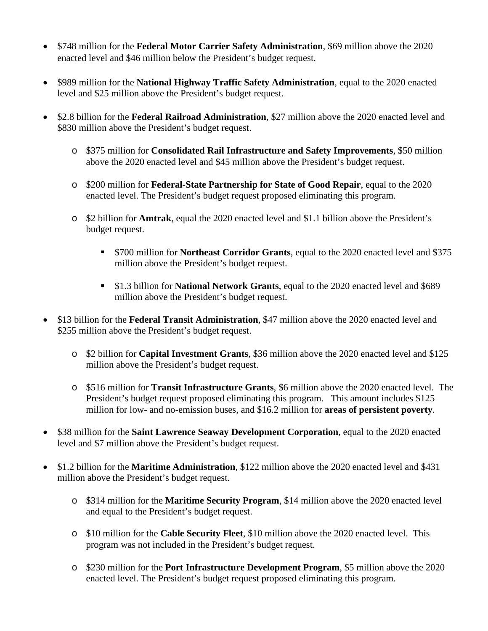- \$748 million for the **Federal Motor Carrier Safety Administration**, \$69 million above the 2020 enacted level and \$46 million below the President's budget request.
- \$989 million for the **National Highway Traffic Safety Administration**, equal to the 2020 enacted level and \$25 million above the President's budget request.
- \$2.8 billion for the **Federal Railroad Administration**, \$27 million above the 2020 enacted level and \$830 million above the President's budget request.
	- o \$375 million for **Consolidated Rail Infrastructure and Safety Improvements**, \$50 million above the 2020 enacted level and \$45 million above the President's budget request.
	- o \$200 million for **Federal-State Partnership for State of Good Repair**, equal to the 2020 enacted level. The President's budget request proposed eliminating this program.
	- o \$2 billion for **Amtrak**, equal the 2020 enacted level and \$1.1 billion above the President's budget request.
		- \$700 million for **Northeast Corridor Grants**, equal to the 2020 enacted level and \$375 million above the President's budget request.
		- \$1.3 billion for **National Network Grants**, equal to the 2020 enacted level and \$689 million above the President's budget request.
- \$13 billion for the **Federal Transit Administration**, \$47 million above the 2020 enacted level and \$255 million above the President's budget request.
	- o \$2 billion for **Capital Investment Grants**, \$36 million above the 2020 enacted level and \$125 million above the President's budget request.
	- o \$516 million for **Transit Infrastructure Grants**, \$6 million above the 2020 enacted level. The President's budget request proposed eliminating this program. This amount includes \$125 million for low- and no-emission buses, and \$16.2 million for **areas of persistent poverty**.
- \$38 million for the **Saint Lawrence Seaway Development Corporation**, equal to the 2020 enacted level and \$7 million above the President's budget request.
- \$1.2 billion for the **Maritime Administration**, \$122 million above the 2020 enacted level and \$431 million above the President's budget request.
	- o \$314 million for the **Maritime Security Program**, \$14 million above the 2020 enacted level and equal to the President's budget request.
	- o \$10 million for the **Cable Security Fleet**, \$10 million above the 2020 enacted level. This program was not included in the President's budget request.
	- o \$230 million for the **Port Infrastructure Development Program**, \$5 million above the 2020 enacted level. The President's budget request proposed eliminating this program.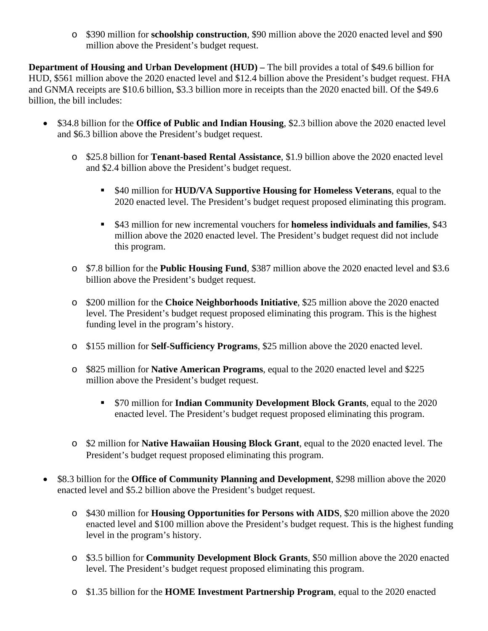o \$390 million for **schoolship construction**, \$90 million above the 2020 enacted level and \$90 million above the President's budget request.

**Department of Housing and Urban Development (HUD)** – The bill provides a total of \$49.6 billion for HUD, \$561 million above the 2020 enacted level and \$12.4 billion above the President's budget request. FHA and GNMA receipts are \$10.6 billion, \$3.3 billion more in receipts than the 2020 enacted bill. Of the \$49.6 billion, the bill includes:

- \$34.8 billion for the **Office of Public and Indian Housing**, \$2.3 billion above the 2020 enacted level and \$6.3 billion above the President's budget request.
	- o \$25.8 billion for **Tenant-based Rental Assistance**, \$1.9 billion above the 2020 enacted level and \$2.4 billion above the President's budget request.
		- \$40 million for **HUD/VA Supportive Housing for Homeless Veterans**, equal to the 2020 enacted level. The President's budget request proposed eliminating this program.
		- \$43 million for new incremental vouchers for **homeless individuals and families**, \$43 million above the 2020 enacted level. The President's budget request did not include this program.
	- o \$7.8 billion for the **Public Housing Fund**, \$387 million above the 2020 enacted level and \$3.6 billion above the President's budget request.
	- o \$200 million for the **Choice Neighborhoods Initiative**, \$25 million above the 2020 enacted level. The President's budget request proposed eliminating this program. This is the highest funding level in the program's history.
	- o \$155 million for **Self-Sufficiency Programs**, \$25 million above the 2020 enacted level.
	- o \$825 million for **Native American Programs**, equal to the 2020 enacted level and \$225 million above the President's budget request.
		- \$70 million for **Indian Community Development Block Grants**, equal to the 2020 enacted level. The President's budget request proposed eliminating this program.
	- o \$2 million for **Native Hawaiian Housing Block Grant**, equal to the 2020 enacted level. The President's budget request proposed eliminating this program.
- \$8.3 billion for the **Office of Community Planning and Development**, \$298 million above the 2020 enacted level and \$5.2 billion above the President's budget request.
	- o \$430 million for **Housing Opportunities for Persons with AIDS**, \$20 million above the 2020 enacted level and \$100 million above the President's budget request. This is the highest funding level in the program's history.
	- o \$3.5 billion for **Community Development Block Grants**, \$50 million above the 2020 enacted level. The President's budget request proposed eliminating this program.
	- o \$1.35 billion for the **HOME Investment Partnership Program**, equal to the 2020 enacted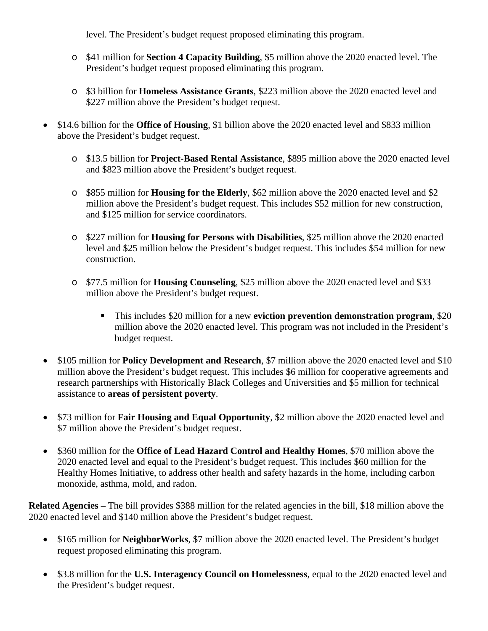level. The President's budget request proposed eliminating this program.

- o \$41 million for **Section 4 Capacity Building**, \$5 million above the 2020 enacted level. The President's budget request proposed eliminating this program.
- o \$3 billion for **Homeless Assistance Grants**, \$223 million above the 2020 enacted level and \$227 million above the President's budget request.
- \$14.6 billion for the **Office of Housing**, \$1 billion above the 2020 enacted level and \$833 million above the President's budget request.
	- o \$13.5 billion for **Project-Based Rental Assistance**, \$895 million above the 2020 enacted level and \$823 million above the President's budget request.
	- o \$855 million for **Housing for the Elderly**, \$62 million above the 2020 enacted level and \$2 million above the President's budget request. This includes \$52 million for new construction, and \$125 million for service coordinators.
	- o \$227 million for **Housing for Persons with Disabilities**, \$25 million above the 2020 enacted level and \$25 million below the President's budget request. This includes \$54 million for new construction.
	- o \$77.5 million for **Housing Counseling**, \$25 million above the 2020 enacted level and \$33 million above the President's budget request.
		- This includes \$20 million for a new **eviction prevention demonstration program**, \$20 million above the 2020 enacted level. This program was not included in the President's budget request.
- \$105 million for **Policy Development and Research**, \$7 million above the 2020 enacted level and \$10 million above the President's budget request. This includes \$6 million for cooperative agreements and research partnerships with Historically Black Colleges and Universities and \$5 million for technical assistance to **areas of persistent poverty**.
- \$73 million for **Fair Housing and Equal Opportunity**, \$2 million above the 2020 enacted level and \$7 million above the President's budget request.
- \$360 million for the **Office of Lead Hazard Control and Healthy Homes**, \$70 million above the 2020 enacted level and equal to the President's budget request. This includes \$60 million for the Healthy Homes Initiative, to address other health and safety hazards in the home, including carbon monoxide, asthma, mold, and radon.

**Related Agencies** – The bill provides \$388 million for the related agencies in the bill, \$18 million above the 2020 enacted level and \$140 million above the President's budget request.

- \$165 million for **NeighborWorks**, \$7 million above the 2020 enacted level. The President's budget request proposed eliminating this program.
- \$3.8 million for the **U.S. Interagency Council on Homelessness**, equal to the 2020 enacted level and the President's budget request.